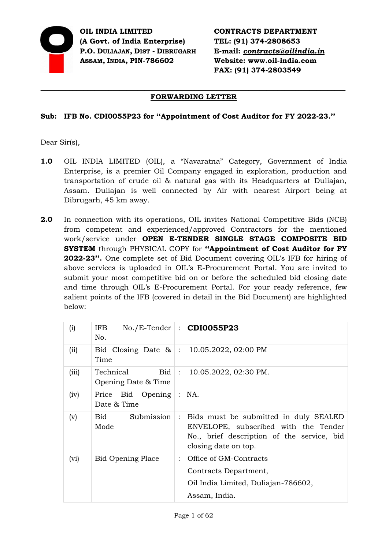

**OIL INDIA LIMITED (A Govt. of India Enterprise) P.O. DULIAJAN, DIST - DIBRUGARH ASSAM, INDIA, PIN-786602** 

**CONTRACTS DEPARTMENT TEL: (91) 374-2808653 E-mail:** *[contracts@oilindia.in](mailto:contracts@oil.asm.nic.in)* **Website: www.oil-india.com FAX: (91) 374-2803549** 

## *\_\_\_\_\_\_\_\_\_\_\_\_\_\_\_\_\_\_\_\_\_\_\_\_\_\_\_\_\_\_\_\_\_\_\_\_\_\_\_\_\_\_\_\_\_\_\_\_\_\_\_\_\_\_\_\_\_\_\_\_\_\_\_\_\_\_\_\_\_\_\_\_\_\_\_\_\_\_\_\_\_\_\_\_\_* **FORWARDING LETTER**

# **Sub: IFB No. CDI0055P23 for ''Appointment of Cost Auditor for FY 2022-23.''**

Dear Sir(s),

- **1.0** OIL INDIA LIMITED (OIL), a "Navaratna" Category, Government of India Enterprise, is a premier Oil Company engaged in exploration, production and transportation of crude oil & natural gas with its Headquarters at Duliajan, Assam. Duliajan is well connected by Air with nearest Airport being at Dibrugarh, 45 km away.
- **2.0** In connection with its operations, OIL invites National Competitive Bids (NCB) from competent and experienced/approved Contractors for the mentioned work/service under **OPEN E-TENDER SINGLE STAGE COMPOSITE BID SYSTEM** through PHYSICAL COPY for **''Appointment of Cost Auditor for FY 2022-23''.** One complete set of Bid Document covering OIL's IFB for hiring of above services is uploaded in OIL's E-Procurement Portal. You are invited to submit your most competitive bid on or before the scheduled bid closing date and time through OIL's E-Procurement Portal. For your ready reference, few salient points of the IFB (covered in detail in the Bid Document) are highlighted below:

| (i)   | IFB.<br>No.                             |                 | $No./E-Tender$ : $CDIO055P23$                                                                                                                       |
|-------|-----------------------------------------|-----------------|-----------------------------------------------------------------------------------------------------------------------------------------------------|
| (ii)  | Bid Closing Date $\&$ :<br>Time         |                 | 10.05.2022, 02:00 PM                                                                                                                                |
| (iii) | Technical<br>Bid<br>Opening Date & Time | $\mathbb{R}^2$  | 10.05.2022, 02:30 PM.                                                                                                                               |
| (iv)  | Bid Opening<br>Price<br>Date & Time     | $\frac{1}{2}$ . | NA.                                                                                                                                                 |
| (v)   | Submission<br><b>Bid</b><br>Mode        | $\ddot{\cdot}$  | Bids must be submitted in duly SEALED<br>ENVELOPE, subscribed with the Tender<br>No., brief description of the service, bid<br>closing date on top. |
| (vi)  | <b>Bid Opening Place</b>                | $\ddot{\cdot}$  | Office of GM-Contracts<br>Contracts Department,<br>Oil India Limited, Duliajan-786602,<br>Assam, India.                                             |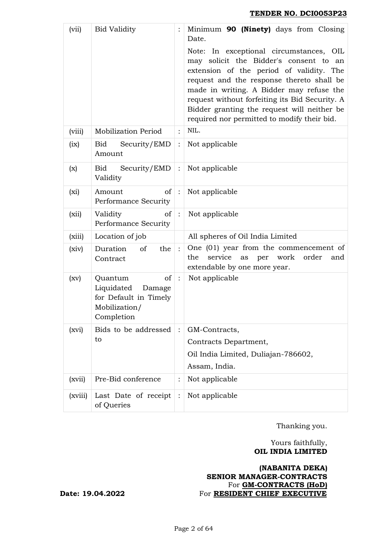| (vii)   | <b>Bid Validity</b>                                                                           |                | Minimum 90 (Ninety) days from Closing<br>Date.                                                                                                                                                                                                                                                                                                                         |
|---------|-----------------------------------------------------------------------------------------------|----------------|------------------------------------------------------------------------------------------------------------------------------------------------------------------------------------------------------------------------------------------------------------------------------------------------------------------------------------------------------------------------|
|         |                                                                                               |                | Note: In exceptional circumstances, OIL<br>may solicit the Bidder's consent to an<br>extension of the period of validity. The<br>request and the response thereto shall be<br>made in writing. A Bidder may refuse the<br>request without forfeiting its Bid Security. A<br>Bidder granting the request will neither be<br>required nor permitted to modify their bid. |
| (viii)  | <b>Mobilization Period</b>                                                                    |                | NIL.                                                                                                                                                                                                                                                                                                                                                                   |
| (ix)    | Bid<br>Security/EMD<br>Amount                                                                 |                | Not applicable                                                                                                                                                                                                                                                                                                                                                         |
| (x)     | Security/EMD<br>Bid<br>Validity                                                               | $\ddot{\cdot}$ | Not applicable                                                                                                                                                                                                                                                                                                                                                         |
| $(x_i)$ | of<br>Amount<br>Performance Security                                                          |                | Not applicable                                                                                                                                                                                                                                                                                                                                                         |
| (xii)   | <sub>of</sub><br>Validity<br>Performance Security                                             |                | Not applicable                                                                                                                                                                                                                                                                                                                                                         |
| (xiii)  | Location of job                                                                               |                | All spheres of Oil India Limited                                                                                                                                                                                                                                                                                                                                       |
| (xiv)   | Duration<br>of<br>the<br>Contract                                                             |                | One (01) year from the commencement of<br>work order<br>service<br>the<br>per<br>as<br>and<br>extendable by one more year.                                                                                                                                                                                                                                             |
| (xv)    | of<br>Quantum<br>Liquidated<br>Damage<br>for Default in Timely<br>Mobilization/<br>Completion | $\ddot{\cdot}$ | Not applicable                                                                                                                                                                                                                                                                                                                                                         |
| (xvi)   | Bids to be addressed                                                                          |                | GM-Contracts,                                                                                                                                                                                                                                                                                                                                                          |
|         | to                                                                                            |                | Contracts Department,                                                                                                                                                                                                                                                                                                                                                  |
|         |                                                                                               |                | Oil India Limited, Duliajan-786602,                                                                                                                                                                                                                                                                                                                                    |
|         |                                                                                               |                | Assam, India.                                                                                                                                                                                                                                                                                                                                                          |
| (xvii)  | Pre-Bid conference                                                                            | $\ddot{\cdot}$ | Not applicable                                                                                                                                                                                                                                                                                                                                                         |
| (xviii) | Last Date of receipt<br>of Queries                                                            |                | Not applicable                                                                                                                                                                                                                                                                                                                                                         |

Thanking you.

## Yours faithfully,  **OIL INDIA LIMITED**

## **(NABANITA DEKA) SENIOR MANAGER-CONTRACTS**  For **GM-CONTRACTS (HoD) Date: 19.04.2022** For **RESIDENT CHIEF EXECUTIVE**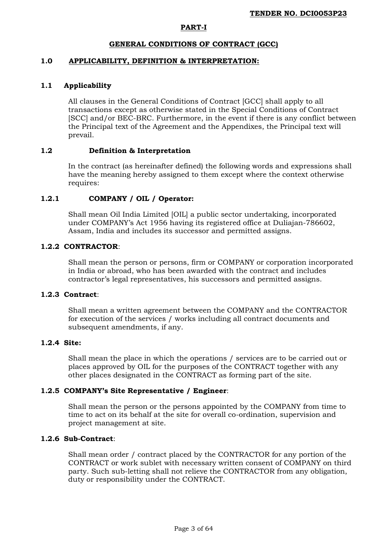## **PART-I**

## **GENERAL CONDITIONS OF CONTRACT (GCC)**

## **1.0 APPLICABILITY, DEFINITION & INTERPRETATION:**

## **1.1 Applicability**

All clauses in the General Conditions of Contract [GCC] shall apply to all transactions except as otherwise stated in the Special Conditions of Contract [SCC] and/or BEC-BRC. Furthermore, in the event if there is any conflict between the Principal text of the Agreement and the Appendixes, the Principal text will prevail.

## **1.2 Definition & Interpretation**

In the contract (as hereinafter defined) the following words and expressions shall have the meaning hereby assigned to them except where the context otherwise requires:

## **1.2.1 COMPANY / OIL / Operator:**

Shall mean Oil India Limited [OIL] a public sector undertaking, incorporated under COMPANY's Act 1956 having its registered office at Duliajan-786602, Assam, India and includes its successor and permitted assigns.

## **1.2.2 CONTRACTOR**:

Shall mean the person or persons, firm or COMPANY or corporation incorporated in India or abroad, who has been awarded with the contract and includes contractor's legal representatives, his successors and permitted assigns.

## **1.2.3 Contract**:

Shall mean a written agreement between the COMPANY and the CONTRACTOR for execution of the services / works including all contract documents and subsequent amendments, if any.

#### **1.2.4 Site:**

Shall mean the place in which the operations / services are to be carried out or places approved by OIL for the purposes of the CONTRACT together with any other places designated in the CONTRACT as forming part of the site.

#### **1.2.5 COMPANY's Site Representative / Engineer**:

Shall mean the person or the persons appointed by the COMPANY from time to time to act on its behalf at the site for overall co-ordination, supervision and project management at site.

## **1.2.6 Sub-Contract**:

Shall mean order / contract placed by the CONTRACTOR for any portion of the CONTRACT or work sublet with necessary written consent of COMPANY on third party. Such sub-letting shall not relieve the CONTRACTOR from any obligation, duty or responsibility under the CONTRACT.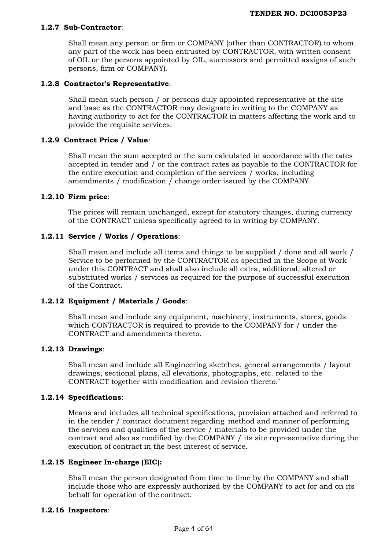## **1.2.7 Sub-Contractor**:

Shall mean any person or firm or COMPANY (other than CONTRACTOR) to whom any part of the work has been entrusted by CONTRACTOR, with written consent of OIL or the persons appointed by OIL, successors and permitted assigns of such persons, firm or COMPANY).

## **1.2.8 Contractor's Representative**:

Shall mean such person / or persons duly appointed representative at the site and base as the CONTRACTOR may designate in writing to the COMPANY as having authority to act for the CONTRACTOR in matters affecting the work and to provide the requisite services.

## **1.2.9 Contract Price / Value***:*

Shall mean the sum accepted or the sum calculated in accordance with the rates accepted in tender and / or the contract rates as payable to the CONTRACTOR for the entire execution and completion of the services / works, including amendments / modification / change order issued by the COMPANY.

## **1.2.10 Firm price**:

The prices will remain unchanged, except for statutory changes, during currency of the CONTRACT unless specifically agreed to in writing by COMPANY.

## **1.2.11 Service / Works / Operations**:

Shall mean and include all items and things to be supplied / done and all work / Service to be performed by the CONTRACTOR as specified in the Scope of Work under this CONTRACT and shall also include all extra, additional, altered or substituted works / services as required for the purpose of successful execution of the Contract.

## **1.2.12 Equipment / Materials / Goods**:

Shall mean and include any equipment, machinery, instruments, stores, goods which CONTRACTOR is required to provide to the COMPANY for / under the CONTRACT and amendments thereto.

## **1.2.13 Drawings**:

Shall mean and include all Engineering sketches, general arrangements / layout drawings, sectional plans, all elevations, photographs, etc. related to the CONTRACT together with modification and revision thereto.`

#### **1.2.14 Specifications**:

Means and includes all technical specifications, provision attached and referred to in the tender / contract document regarding method and manner of performing the services and qualities of the service / materials to be provided under the contract and also as modified by the COMPANY / its site representative during the execution of contract in the best interest of service.

## **1.2.15 Engineer In-charge (EIC):**

Shall mean the person designated from time to time by the COMPANY and shall include those who are expressly authorized by the COMPANY to act for and on its behalf for operation of the contract.

## **1.2.16 Inspectors**: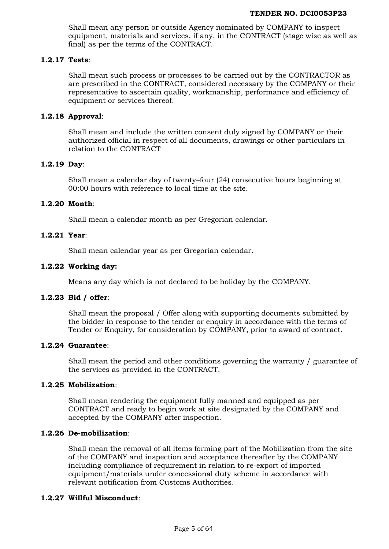Shall mean any person or outside Agency nominated by COMPANY to inspect equipment, materials and services, if any, in the CONTRACT (stage wise as well as final) as per the terms of the CONTRACT.

## **1.2.17 Tests**:

Shall mean such process or processes to be carried out by the CONTRACTOR as are prescribed in the CONTRACT, considered necessary by the COMPANY or their representative to ascertain quality, workmanship, performance and efficiency of equipment or services thereof.

## **1.2.18 Approval**:

Shall mean and include the written consent duly signed by COMPANY or their authorized official in respect of all documents, drawings or other particulars in relation to the CONTRACT

## **1.2.19 Day**:

Shall mean a calendar day of twenty–four (24) consecutive hours beginning at 00:00 hours with reference to local time at the site.

## **1.2.20 Month**:

Shall mean a calendar month as per Gregorian calendar.

## **1.2.21 Year**:

Shall mean calendar year as per Gregorian calendar.

## **1.2.22 Working day:**

Means any day which is not declared to be holiday by the COMPANY.

## **1.2.23 Bid / offer**:

Shall mean the proposal / Offer along with supporting documents submitted by the bidder in response to the tender or enquiry in accordance with the terms of Tender or Enquiry, for consideration by COMPANY, prior to award of contract.

#### **1.2.24 Guarantee**:

Shall mean the period and other conditions governing the warranty / guarantee of the services as provided in the CONTRACT.

## **1.2.25 Mobilization**:

Shall mean rendering the equipment fully manned and equipped as per CONTRACT and ready to begin work at site designated by the COMPANY and accepted by the COMPANY after inspection.

### **1.2.26 De-mobilization**:

Shall mean the removal of all items forming part of the Mobilization from the site of the COMPANY and inspection and acceptance thereafter by the COMPANY including compliance of requirement in relation to re-export of imported equipment/materials under concessional duty scheme in accordance with relevant notification from Customs Authorities.

#### **1.2.27 Willful Misconduct**: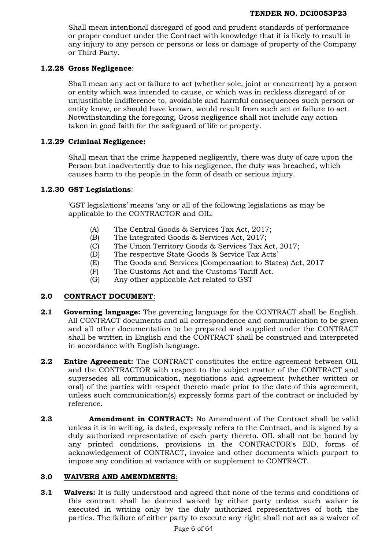Shall mean intentional disregard of good and prudent standards of performance or proper conduct under the Contract with knowledge that it is likely to result in any injury to any person or persons or loss or damage of property of the Company or Third Party.

## **1.2.28 Gross Negligence**:

Shall mean any act or failure to act (whether sole, joint or concurrent) by a person or entity which was intended to cause, or which was in reckless disregard of or unjustifiable indifference to, avoidable and harmful consequences such person or entity knew, or should have known, would result from such act or failure to act. Notwithstanding the foregoing, Gross negligence shall not include any action taken in good faith for the safeguard of life or property.

# **1.2.29 Criminal Negligence:**

Shall mean that the crime happened negligently, there was duty of care upon the Person but inadvertently due to his negligence, the duty was breached, which causes harm to the people in the form of death or serious injury.

## **1.2.30 GST Legislations**:

'GST legislations' means 'any or all of the following legislations as may be applicable to the CONTRACTOR and OIL:

- (A) The Central Goods & Services Tax Act, 2017;
- (B) The Integrated Goods & Services Act, 2017;
- (C) The Union Territory Goods & Services Tax Act, 2017;
- (D) The respective State Goods & Service Tax Acts'
- (E) The Goods and Services (Compensation to States) Act, 2017
- (F) The Customs Act and the Customs Tariff Act.
- (G) Any other applicable Act related to GST

## **2.0 CONTRACT DOCUMENT**:

- **2.1 Governing language:** The governing language for the CONTRACT shall be English. All CONTRACT documents and all correspondence and communication to be given and all other documentation to be prepared and supplied under the CONTRACT shall be written in English and the CONTRACT shall be construed and interpreted in accordance with English language.
- **2.2 Entire Agreement:** The CONTRACT constitutes the entire agreement between OIL and the CONTRACTOR with respect to the subject matter of the CONTRACT and supersedes all communication, negotiations and agreement (whether written or oral) of the parties with respect thereto made prior to the date of this agreement, unless such communication(s) expressly forms part of the contract or included by reference.
- **2.3 Amendment in CONTRACT:** No Amendment of the Contract shall be valid unless it is in writing, is dated, expressly refers to the Contract, and is signed by a duly authorized representative of each party thereto. OIL shall not be bound by any printed conditions, provisions in the CONTRACTOR's BID, forms of acknowledgement of CONTRACT, invoice and other documents which purport to impose any condition at variance with or supplement to CONTRACT.

## **3.0 WAIVERS AND AMENDMENTS**:

**3.1 Waivers:** It is fully understood and agreed that none of the terms and conditions of this contract shall be deemed waived by either party unless such waiver is executed in writing only by the duly authorized representatives of both the parties. The failure of either party to execute any right shall not act as a waiver of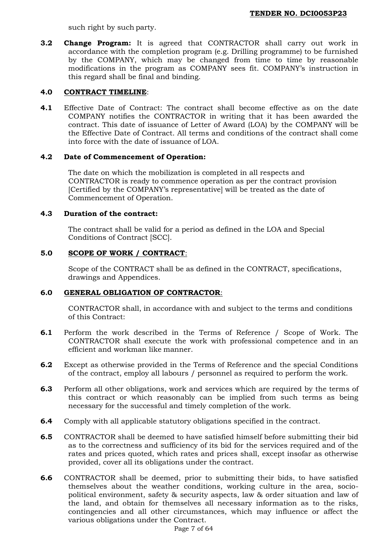such right by such party.

**3.2 Change Program:** It is agreed that CONTRACTOR shall carry out work in accordance with the completion program (e.g. Drilling programme) to be furnished by the COMPANY, which may be changed from time to time by reasonable modifications in the program as COMPANY sees fit. COMPANY's instruction in this regard shall be final and binding.

## **4.0 CONTRACT TIMELINE**:

**4.1** Effective Date of Contract: The contract shall become effective as on the date COMPANY notifies the CONTRACTOR in writing that it has been awarded the contract. This date of issuance of Letter of Award (LOA) by the COMPANY will be the Effective Date of Contract. All terms and conditions of the contract shall come into force with the date of issuance of LOA.

## **4.2 Date of Commencement of Operation:**

The date on which the mobilization is completed in all respects and CONTRACTOR is ready to commence operation as per the contract provision [Certified by the COMPANY's representative] will be treated as the date of Commencement of Operation.

## **4.3 Duration of the contract:**

The contract shall be valid for a period as defined in the LOA and Special Conditions of Contract [SCC].

# **5.0 SCOPE OF WORK / CONTRACT**:

Scope of the CONTRACT shall be as defined in the CONTRACT, specifications, drawings and Appendices.

# **6.0 GENERAL OBLIGATION OF CONTRACTOR**:

CONTRACTOR shall, in accordance with and subject to the terms and conditions of this Contract:

- **6.1** Perform the work described in the Terms of Reference / Scope of Work. The CONTRACTOR shall execute the work with professional competence and in an efficient and workman like manner.
- **6.2** Except as otherwise provided in the Terms of Reference and the special Conditions of the contract, employ all labours / personnel as required to perform the work.
- **6.3** Perform all other obligations, work and services which are required by the terms of this contract or which reasonably can be implied from such terms as being necessary for the successful and timely completion of the work.
- **6.4** Comply with all applicable statutory obligations specified in the contract.
- **6.5** CONTRACTOR shall be deemed to have satisfied himself before submitting their bid as to the correctness and sufficiency of its bid for the services required and of the rates and prices quoted, which rates and prices shall, except insofar as otherwise provided, cover all its obligations under the contract.
- **6.6** CONTRACTOR shall be deemed, prior to submitting their bids, to have satisfied themselves about the weather conditions, working culture in the area, sociopolitical environment, safety & security aspects, law & order situation and law of the land, and obtain for themselves all necessary information as to the risks, contingencies and all other circumstances, which may influence or affect the various obligations under the Contract.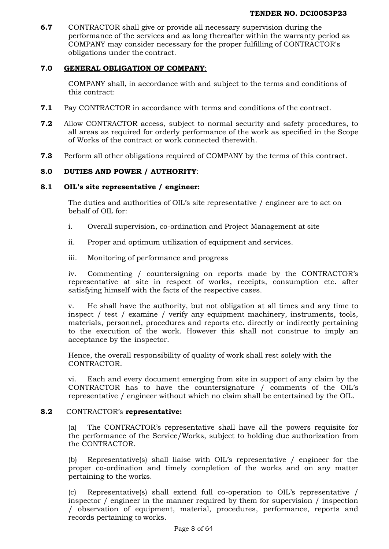**6.7** CONTRACTOR shall give or provide all necessary supervision during the performance of the services and as long thereafter within the warranty period as COMPANY may consider necessary for the proper fulfilling of CONTRACTOR's obligations under the contract.

# **7.0 GENERAL OBLIGATION OF COMPANY**:

COMPANY shall, in accordance with and subject to the terms and conditions of this contract:

- **7.1** Pay CONTRACTOR in accordance with terms and conditions of the contract.
- **7.2** Allow CONTRACTOR access, subject to normal security and safety procedures, to all areas as required for orderly performance of the work as specified in the Scope of Works of the contract or work connected therewith.
- **7.3** Perform all other obligations required of COMPANY by the terms of this contract.

# **8.0 DUTIES AND POWER / AUTHORITY**:

## **8.1 OIL's site representative / engineer:**

The duties and authorities of OIL's site representative / engineer are to act on behalf of OIL for:

- i. Overall supervision, co-ordination and Project Management at site
- ii. Proper and optimum utilization of equipment and services.
- iii. Monitoring of performance and progress

iv. Commenting / countersigning on reports made by the CONTRACTOR's representative at site in respect of works, receipts, consumption etc. after satisfying himself with the facts of the respective cases.

v. He shall have the authority, but not obligation at all times and any time to inspect / test / examine / verify any equipment machinery, instruments, tools, materials, personnel, procedures and reports etc. directly or indirectly pertaining to the execution of the work. However this shall not construe to imply an acceptance by the inspector.

Hence, the overall responsibility of quality of work shall rest solely with the CONTRACTOR.

vi. Each and every document emerging from site in support of any claim by the CONTRACTOR has to have the countersignature / comments of the OIL's representative / engineer without which no claim shall be entertained by the OIL.

#### **8.2** CONTRACTOR's **representative:**

(a) The CONTRACTOR's representative shall have all the powers requisite for the performance of the Service/Works, subject to holding due authorization from the CONTRACTOR.

(b) Representative(s) shall liaise with OIL's representative / engineer for the proper co-ordination and timely completion of the works and on any matter pertaining to the works.

(c) Representative(s) shall extend full co-operation to OIL's representative / inspector / engineer in the manner required by them for supervision / inspection / observation of equipment, material, procedures, performance, reports and records pertaining to works.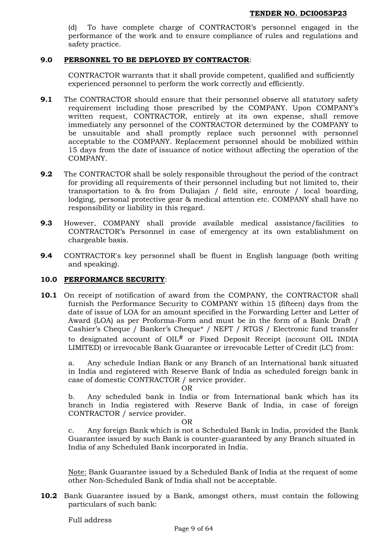To have complete charge of CONTRACTOR's personnel engaged in the performance of the work and to ensure compliance of rules and regulations and safety practice.

## **9.0 PERSONNEL TO BE DEPLOYED BY CONTRACTOR**:

CONTRACTOR warrants that it shall provide competent, qualified and sufficiently experienced personnel to perform the work correctly and efficiently.

- **9.1** The CONTRACTOR should ensure that their personnel observe all statutory safety requirement including those prescribed by the COMPANY. Upon COMPANY's written request, CONTRACTOR, entirely at its own expense, shall remove immediately any personnel of the CONTRACTOR determined by the COMPANY to be unsuitable and shall promptly replace such personnel with personnel acceptable to the COMPANY. Replacement personnel should be mobilized within 15 days from the date of issuance of notice without affecting the operation of the COMPANY.
- **9.2** The CONTRACTOR shall be solely responsible throughout the period of the contract for providing all requirements of their personnel including but not limited to, their transportation to & fro from Duliajan / field site, enroute / local boarding, lodging, personal protective gear & medical attention etc. COMPANY shall have no responsibility or liability in this regard.
- **9.3** However, COMPANY shall provide available medical assistance/facilities to CONTRACTOR's Personnel in case of emergency at its own establishment on chargeable basis.
- **9.4** CONTRACTOR's key personnel shall be fluent in English language (both writing and speaking).

#### <span id="page-8-0"></span>**10.0 PERFORMANCE SECURITY**:

**10.1** On receipt of notification of award from the COMPANY, the CONTRACTOR shall furnish the Performance Security to COMPANY within 15 (fifteen) days from the date of issue of LOA for an amount specified in the Forwarding Letter and Letter of Award (LOA) as per Proforma-Form and must be in the form of a Bank Draft / Cashier's Cheque / Banker's Cheque\* / NEFT / RTGS / Electronic fund transfer to designated account of OIL# or Fixed Deposit Receipt (account OIL INDIA LIMITED) or irrevocable Bank Guarantee or irrevocable Letter of Credit (LC) from:

a. Any schedule Indian Bank or any Branch of an International bank situated in India and registered with Reserve Bank of India as scheduled foreign bank in case of domestic CONTRACTOR / service provider.

OR

b. Any scheduled bank in India or from International bank which has its branch in India registered with Reserve Bank of India, in case of foreign CONTRACTOR / service provider.

OR

c. Any foreign Bank which is not a Scheduled Bank in India, provided the Bank Guarantee issued by such Bank is counter-guaranteed by any Branch situated in India of any Scheduled Bank incorporated in India.

Note: Bank Guarantee issued by a Scheduled Bank of India at the request of some other Non-Scheduled Bank of India shall not be acceptable.

**10.2** Bank Guarantee issued by a Bank, amongst others, must contain the following particulars of such bank: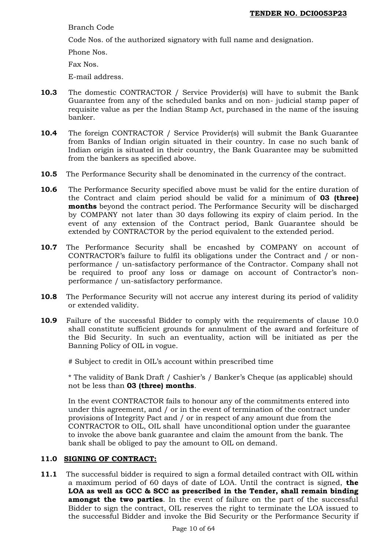Branch Code

Code Nos. of the authorized signatory with full name and designation.

Phone Nos.

Fax Nos.

E-mail address.

- **10.3** The domestic CONTRACTOR / Service Provider(s) will have to submit the Bank Guarantee from any of the scheduled banks and on non- judicial stamp paper of requisite value as per the Indian Stamp Act, purchased in the name of the issuing banker.
- **10.4** The foreign CONTRACTOR / Service Provider(s) will submit the Bank Guarantee from Banks of Indian origin situated in their country. In case no such bank of Indian origin is situated in their country, the Bank Guarantee may be submitted from the bankers as specified above.
- **10.5** The Performance Security shall be denominated in the currency of the contract.
- **10.6** The Performance Security specified above must be valid for the entire duration of the Contract and claim period should be valid for a minimum of **03 (three) months** beyond the contract period. The Performance Security will be discharged by COMPANY not later than 30 days following its expiry of claim period. In the event of any extension of the Contract period, Bank Guarantee should be extended by CONTRACTOR by the period equivalent to the extended period.
- **10.7** The Performance Security shall be encashed by COMPANY on account of CONTRACTOR's failure to fulfil its obligations under the Contract and / or nonperformance / un-satisfactory performance of the Contractor. Company shall not be required to proof any loss or damage on account of Contractor's nonperformance / un-satisfactory performance.
- **10.8** The Performance Security will not accrue any interest during its period of validity or extended validity.
- **10.9** Failure of the successful Bidder to comply with the requirements of clause [10.0](#page-8-0) shall constitute sufficient grounds for annulment of the award and forfeiture of the Bid Security. In such an eventuality, action will be initiated as per the Banning Policy of OIL in vogue.

# Subject to credit in OIL's account within prescribed time

\* The validity of Bank Draft / Cashier's / Banker's Cheque (as applicable) should not be less than **03 (three) months**.

In the event CONTRACTOR fails to honour any of the commitments entered into under this agreement, and / or in the event of termination of the contract under provisions of Integrity Pact and / or in respect of any amount due from the CONTRACTOR to OIL, OIL shall have unconditional option under the guarantee to invoke the above bank guarantee and claim the amount from the bank. The bank shall be obliged to pay the amount to OIL on demand.

## **11.0 SIGNING OF CONTRACT:**

**11.1** The successful bidder is required to sign a formal detailed contract with OIL within a maximum period of 60 days of date of LOA. Until the contract is signed, **the LOA as well as GCC & SCC as prescribed in the Tender, shall remain binding amongst the two parties**. In the event of failure on the part of the successful Bidder to sign the contract, OIL reserves the right to terminate the LOA issued to the successful Bidder and invoke the Bid Security or the Performance Security if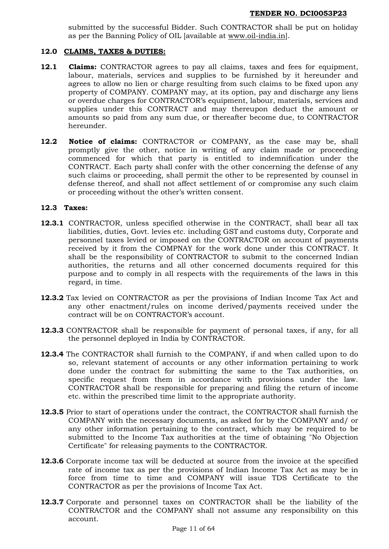submitted by the successful Bidder. Such CONTRACTOR shall be put on holiday as per the Banning Policy of OIL [available at [www.oil-india.in\]](http://www.oil-india.in/).

### **12.0 CLAIMS, TAXES & DUTIES:**

- **12.1 Claims:** CONTRACTOR agrees to pay all claims, taxes and fees for equipment, labour, materials, services and supplies to be furnished by it hereunder and agrees to allow no lien or charge resulting from such claims to be fixed upon any property of COMPANY. COMPANY may, at its option, pay and discharge any liens or overdue charges for CONTRACTOR's equipment, labour, materials, services and supplies under this CONTRACT and may thereupon deduct the amount or amounts so paid from any sum due, or thereafter become due, to CONTRACTOR hereunder.
- **12.2 Notice of claims:** CONTRACTOR or COMPANY, as the case may be, shall promptly give the other, notice in writing of any claim made or proceeding commenced for which that party is entitled to indemnification under the CONTRACT. Each party shall confer with the other concerning the defense of any such claims or proceeding, shall permit the other to be represented by counsel in defense thereof, and shall not affect settlement of or compromise any such claim or proceeding without the other's written consent.

#### **12.3 Taxes:**

- **12.3.1** CONTRACTOR, unless specified otherwise in the CONTRACT, shall bear all tax liabilities, duties, Govt. levies etc. including GST and customs duty, Corporate and personnel taxes levied or imposed on the CONTRACTOR on account of payments received by it from the COMPNAY for the work done under this CONTRACT. It shall be the responsibility of CONTRACTOR to submit to the concerned Indian authorities, the returns and all other concerned documents required for this purpose and to comply in all respects with the requirements of the laws in this regard, in time.
- **12.3.2** Tax levied on CONTRACTOR as per the provisions of Indian Income Tax Act and any other enactment/rules on income derived/payments received under the contract will be on CONTRACTOR's account.
- **12.3.3** CONTRACTOR shall be responsible for payment of personal taxes, if any, for all the personnel deployed in India by CONTRACTOR.
- **12.3.4** The CONTRACTOR shall furnish to the COMPANY, if and when called upon to do so, relevant statement of accounts or any other information pertaining to work done under the contract for submitting the same to the Tax authorities, on specific request from them in accordance with provisions under the law. CONTRACTOR shall be responsible for preparing and filing the return of income etc. within the prescribed time limit to the appropriate authority.
- **12.3.5** Prior to start of operations under the contract, the CONTRACTOR shall furnish the COMPANY with the necessary documents, as asked for by the COMPANY and/ or any other information pertaining to the contract, which may be required to be submitted to the Income Tax authorities at the time of obtaining "No Objection Certificate" for releasing payments to the CONTRACTOR.
- **12.3.6** Corporate income tax will be deducted at source from the invoice at the specified rate of income tax as per the provisions of Indian Income Tax Act as may be in force from time to time and COMPANY will issue TDS Certificate to the CONTRACTOR as per the provisions of Income Tax Act.
- **12.3.7** Corporate and personnel taxes on CONTRACTOR shall be the liability of the CONTRACTOR and the COMPANY shall not assume any responsibility on this account.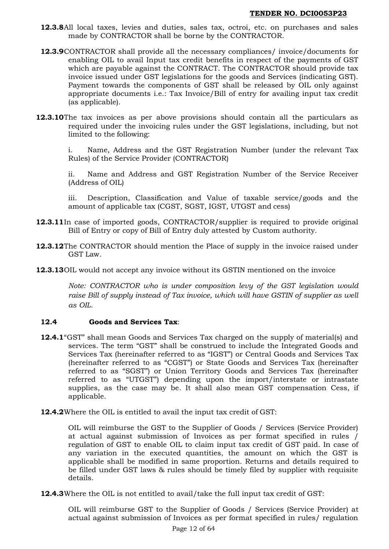- **12.3.8**All local taxes, levies and duties, sales tax, octroi, etc. on purchases and sales made by CONTRACTOR shall be borne by the CONTRACTOR.
- **12.3.9**CONTRACTOR shall provide all the necessary compliances/ invoice/documents for enabling OIL to avail Input tax credit benefits in respect of the payments of GST which are payable against the CONTRACT. The CONTRACTOR should provide tax invoice issued under GST legislations for the goods and Services (indicating GST). Payment towards the components of GST shall be released by OIL only against appropriate documents i.e.: Tax Invoice/Bill of entry for availing input tax credit (as applicable).
- **12.3.10**The tax invoices as per above provisions should contain all the particulars as required under the invoicing rules under the GST legislations, including, but not limited to the following:

i. Name, Address and the GST Registration Number (under the relevant Tax Rules) of the Service Provider (CONTRACTOR)

ii. Name and Address and GST Registration Number of the Service Receiver (Address of OIL)

iii. Description, Classification and Value of taxable service/goods and the amount of applicable tax (CGST, SGST, IGST, UTGST and cess)

- **12.3.11**In case of imported goods, CONTRACTOR/supplier is required to provide original Bill of Entry or copy of Bill of Entry duly attested by Custom authority.
- **12.3.12**The CONTRACTOR should mention the Place of supply in the invoice raised under GST Law.
- **12.3.13**OIL would not accept any invoice without its GSTIN mentioned on the invoice

*Note: CONTRACTOR who is under composition levy of the GST legislation would*  raise Bill of supply instead of Tax invoice, which will have GSTIN of supplier as well *as OIL.*

## **12.4 Goods and Services Tax**:

- **12.4.1**"GST" shall mean Goods and Services Tax charged on the supply of material(s) and services. The term "GST" shall be construed to include the Integrated Goods and Services Tax (hereinafter referred to as "IGST") or Central Goods and Services Tax (hereinafter referred to as "CGST") or State Goods and Services Tax (hereinafter referred to as "SGST") or Union Territory Goods and Services Tax (hereinafter referred to as "UTGST") depending upon the import/interstate or intrastate supplies, as the case may be. It shall also mean GST compensation Cess, if applicable.
- **12.4.2**Where the OIL is entitled to avail the input tax credit of GST:

OIL will reimburse the GST to the Supplier of Goods / Services (Service Provider) at actual against submission of Invoices as per format specified in rules / regulation of GST to enable OIL to claim input tax credit of GST paid. In case of any variation in the executed quantities, the amount on which the GST is applicable shall be modified in same proportion. Returns and details required to be filled under GST laws & rules should be timely filed by supplier with requisite details.

**12.4.3**Where the OIL is not entitled to avail/take the full input tax credit of GST:

OIL will reimburse GST to the Supplier of Goods / Services (Service Provider) at actual against submission of Invoices as per format specified in rules/ regulation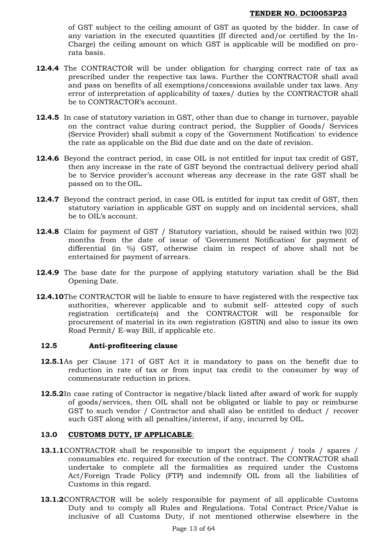of GST subject to the ceiling amount of GST as quoted by the bidder. In case of any variation in the executed quantities (If directed and/or certified by the In-Charge) the ceiling amount on which GST is applicable will be modified on prorata basis.

- **12.4.4** The CONTRACTOR will be under obligation for charging correct rate of tax as prescribed under the respective tax laws. Further the CONTRACTOR shall avail and pass on benefits of all exemptions/concessions available under tax laws. Any error of interpretation of applicability of taxes/ duties by the CONTRACTOR shall be to CONTRACTOR's account.
- **12.4.5** In case of statutory variation in GST, other than due to change in turnover, payable on the contract value during contract period, the Supplier of Goods/ Services (Service Provider) shall submit a copy of the 'Government Notification' to evidence the rate as applicable on the Bid due date and on the date of revision.
- **12.4.6** Beyond the contract period, in case OIL is not entitled for input tax credit of GST, then any increase in the rate of GST beyond the contractual delivery period shall be to Service provider's account whereas any decrease in the rate GST shall be passed on to the OIL.
- **12.4.7** Beyond the contract period, in case OIL is entitled for input tax credit of GST, then statutory variation in applicable GST on supply and on incidental services, shall be to OIL's account.
- **12.4.8** Claim for payment of GST / Statutory variation, should be raised within two [02] months from the date of issue of 'Government Notification' for payment of differential (in %) GST, otherwise claim in respect of above shall not be entertained for payment of arrears.
- **12.4.9** The base date for the purpose of applying statutory variation shall be the Bid Opening Date.
- **12.4.10**The CONTRACTOR will be liable to ensure to have registered with the respective tax authorities, wherever applicable and to submit self- attested copy of such registration certificate(s) and the CONTRACTOR will be responsible for procurement of material in its own registration (GSTIN) and also to issue its own Road Permit/ E-way Bill, if applicable etc.

## **12.5 Anti-profiteering clause**

- **12.5.1**As per Clause 171 of GST Act it is mandatory to pass on the benefit due to reduction in rate of tax or from input tax credit to the consumer by way of commensurate reduction in prices.
- **12.5.2**In case rating of Contractor is negative/black listed after award of work for supply of goods/services, then OIL shall not be obligated or liable to pay or reimburse GST to such vendor / Contractor and shall also be entitled to deduct / recover such GST along with all penalties/interest, if any, incurred by OIL.

## **13.0 CUSTOMS DUTY, IF APPLICABLE**:

- **13.1.1**CONTRACTOR shall be responsible to import the equipment / tools / spares / consumables etc. required for execution of the contract. The CONTRACTOR shall undertake to complete all the formalities as required under the Customs Act/Foreign Trade Policy (FTP) and indemnify OIL from all the liabilities of Customs in this regard.
- **13.1.2**CONTRACTOR will be solely responsible for payment of all applicable Customs Duty and to comply all Rules and Regulations. Total Contract Price/Value is inclusive of all Customs Duty, if not mentioned otherwise elsewhere in the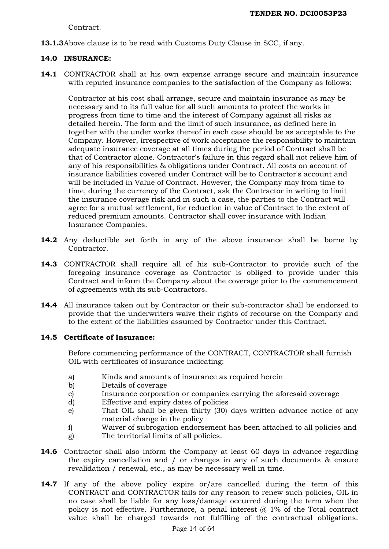Contract.

**13.1.3**Above clause is to be read with Customs Duty Clause in SCC, if any.

## **14.0 INSURANCE:**

**14.1** CONTRACTOR shall at his own expense arrange secure and maintain insurance with reputed insurance companies to the satisfaction of the Company as follows:

Contractor at his cost shall arrange, secure and maintain insurance as may be necessary and to its full value for all such amounts to protect the works in progress from time to time and the interest of Company against all risks as detailed herein. The form and the limit of such insurance, as defined here in together with the under works thereof in each case should be as acceptable to the Company. However, irrespective of work acceptance the responsibility to maintain adequate insurance coverage at all times during the period of Contract shall be that of Contractor alone. Contractor's failure in this regard shall not relieve him of any of his responsibilities & obligations under Contract. All costs on account of insurance liabilities covered under Contract will be to Contractor's account and will be included in Value of Contract. However, the Company may from time to time, during the currency of the Contract, ask the Contractor in writing to limit the insurance coverage risk and in such a case, the parties to the Contract will agree for a mutual settlement, for reduction in value of Contract to the extent of reduced premium amounts. Contractor shall cover insurance with Indian Insurance Companies.

- **14.2** Any deductible set forth in any of the above insurance shall be borne by Contractor.
- **14.3** CONTRACTOR shall require all of his sub-Contractor to provide such of the foregoing insurance coverage as Contractor is obliged to provide under this Contract and inform the Company about the coverage prior to the commencement of agreements with its sub-Contractors.
- **14.4** All insurance taken out by Contractor or their sub-contractor shall be endorsed to provide that the underwriters waive their rights of recourse on the Company and to the extent of the liabilities assumed by Contractor under this Contract.

## **14.5 Certificate of Insurance:**

Before commencing performance of the CONTRACT, CONTRACTOR shall furnish OIL with certificates of insurance indicating:

- a) Kinds and amounts of insurance as required herein
- b) Details of coverage
- c) Insurance corporation or companies carrying the aforesaid coverage
- d) Effective and expiry dates of policies
- e) That OIL shall be given thirty (30) days written advance notice of any material change in the policy
- f) Waiver of subrogation endorsement has been attached to all policies and
- g) The territorial limits of all policies.
- **14.6** Contractor shall also inform the Company at least 60 days in advance regarding the expiry cancellation and / or changes in any of such documents & ensure revalidation / renewal, etc., as may be necessary well in time.
- **14.7** If any of the above policy expire or/are cancelled during the term of this CONTRACT and CONTRACTOR fails for any reason to renew such policies, OIL in no case shall be liable for any loss/damage occurred during the term when the policy is not effective. Furthermore, a penal interest @ 1% of the Total contract value shall be charged towards not fulfilling of the contractual obligations.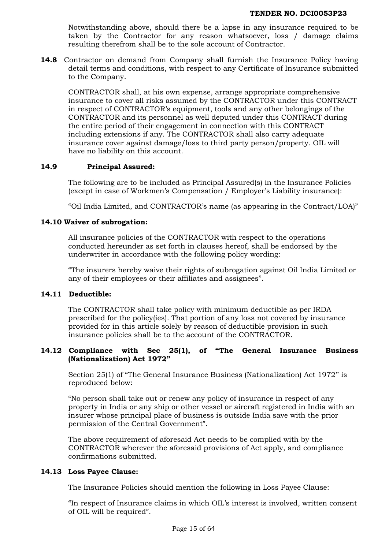Notwithstanding above, should there be a lapse in any insurance required to be taken by the Contractor for any reason whatsoever, loss / damage claims resulting therefrom shall be to the sole account of Contractor.

**14.8** Contractor on demand from Company shall furnish the Insurance Policy having detail terms and conditions, with respect to any Certificate of Insurance submitted to the Company.

CONTRACTOR shall, at his own expense, arrange appropriate comprehensive insurance to cover all risks assumed by the CONTRACTOR under this CONTRACT in respect of CONTRACTOR's equipment, tools and any other belongings of the CONTRACTOR and its personnel as well deputed under this CONTRACT during the entire period of their engagement in connection with this CONTRACT including extensions if any. The CONTRACTOR shall also carry adequate insurance cover against damage/loss to third party person/property. OIL will have no liability on this account.

## **14.9 Principal Assured:**

The following are to be included as Principal Assured(s) in the Insurance Policies (except in case of Workmen's Compensation / Employer's Liability insurance):

"Oil India Limited, and CONTRACTOR's name (as appearing in the Contract/LOA)"

## **14.10 Waiver of subrogation:**

All insurance policies of the CONTRACTOR with respect to the operations conducted hereunder as set forth in clauses hereof, shall be endorsed by the underwriter in accordance with the following policy wording:

"The insurers hereby waive their rights of subrogation against Oil India Limited or any of their employees or their affiliates and assignees".

#### **14.11 Deductible:**

The CONTRACTOR shall take policy with minimum deductible as per IRDA prescribed for the policy(ies). That portion of any loss not covered by insurance provided for in this article solely by reason of deductible provision in such insurance policies shall be to the account of the CONTRACTOR.

## **14.12 Compliance with Sec 25(1), of "The General Insurance Business (Nationalization) Act 1972"**

Section 25(1) of "The General Insurance Business (Nationalization) Act 1972" is reproduced below:

"No person shall take out or renew any policy of insurance in respect of any property in India or any ship or other vessel or aircraft registered in India with an insurer whose principal place of business is outside India save with the prior permission of the Central Government".

The above requirement of aforesaid Act needs to be complied with by the CONTRACTOR wherever the aforesaid provisions of Act apply, and compliance confirmations submitted.

#### **14.13 Loss Payee Clause:**

The Insurance Policies should mention the following in Loss Payee Clause:

"In respect of Insurance claims in which OIL's interest is involved, written consent of OIL will be required".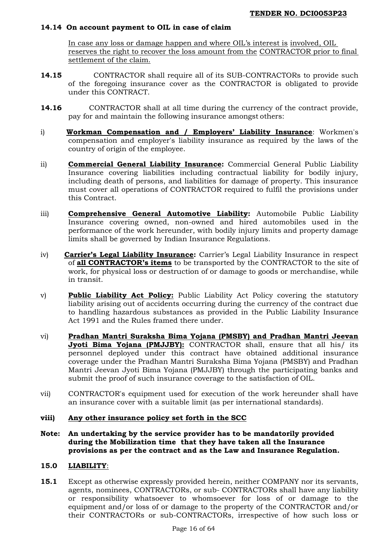## **14.14 On account payment to OIL in case of claim**

In case any loss or damage happen and where OIL's interest is involved, OIL reserves the right to recover the loss amount from the CONTRACTOR prior to final settlement of the claim.

- **14.15** CONTRACTOR shall require all of its SUB-CONTRACTORs to provide such of the foregoing insurance cover as the CONTRACTOR is obligated to provide under this CONTRACT.
- **14.16** CONTRACTOR shall at all time during the currency of the contract provide, pay for and maintain the following insurance amongst others:
- i) **Workman Compensation and / Employers' Liability Insurance**: Workmen's compensation and employer's liability insurance as required by the laws of the country of origin of the employee.
- ii) **Commercial General Liability Insurance:** Commercial General Public Liability Insurance covering liabilities including contractual liability for bodily injury, including death of persons, and liabilities for damage of property. This insurance must cover all operations of CONTRACTOR required to fulfil the provisions under this Contract.
- iii) **Comprehensive General Automotive Liability:** Automobile Public Liability Insurance covering owned, non-owned and hired automobiles used in the performance of the work hereunder, with bodily injury limits and property damage limits shall be governed by Indian Insurance Regulations.
- iv) **Carrier's Legal Liability Insurance:** Carrier's Legal Liability Insurance in respect of **all CONTRACTOR's items** to be transported by the CONTRACTOR to the site of work, for physical loss or destruction of or damage to goods or merchandise, while in transit.
- v) **Public Liability Act Policy:** Public Liability Act Policy covering the statutory liability arising out of accidents occurring during the currency of the contract due to handling hazardous substances as provided in the Public Liability Insurance Act 1991 and the Rules framed there under.
- vi) **Pradhan Mantri Suraksha Bima Yojana (PMSBY) and Pradhan Mantri Jeevan Jyoti Bima Yojana (PMJJBY):** CONTRACTOR shall, ensure that all his/ its personnel deployed under this contract have obtained additional insurance coverage under the Pradhan Mantri Suraksha Bima Yojana (PMSBY) and Pradhan Mantri Jeevan Jyoti Bima Yojana (PMJJBY) through the participating banks and submit the proof of such insurance coverage to the satisfaction of OIL.
- vii) CONTRACTOR's equipment used for execution of the work hereunder shall have an insurance cover with a suitable limit (as per international standards).

## **viii) Any other insurance policy set forth in the SCC**

**Note: An undertaking by the service provider has to be mandatorily provided during the Mobilization time that they have taken all the Insurance provisions as per the contract and as the Law and Insurance Regulation.**

## **15.0 LIABILITY**:

**15.1** Except as otherwise expressly provided herein, neither COMPANY nor its servants, agents, nominees, CONTRACTORs, or sub- CONTRACTORs shall have any liability or responsibility whatsoever to whomsoever for loss of or damage to the equipment and/or loss of or damage to the property of the CONTRACTOR and/or their CONTRACTORs or sub-CONTRACTORs, irrespective of how such loss or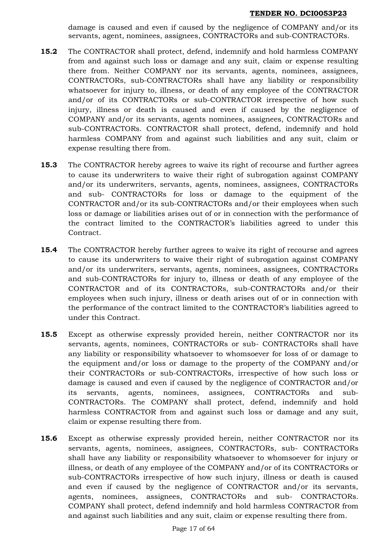damage is caused and even if caused by the negligence of COMPANY and/or its servants, agent, nominees, assignees, CONTRACTORs and sub-CONTRACTORs.

- **15.2** The CONTRACTOR shall protect, defend, indemnify and hold harmless COMPANY from and against such loss or damage and any suit, claim or expense resulting there from. Neither COMPANY nor its servants, agents, nominees, assignees, CONTRACTORs, sub-CONTRACTORs shall have any liability or responsibility whatsoever for injury to, illness, or death of any employee of the CONTRACTOR and/or of its CONTRACTORs or sub-CONTRACTOR irrespective of how such injury, illness or death is caused and even if caused by the negligence of COMPANY and/or its servants, agents nominees, assignees, CONTRACTORs and sub-CONTRACTORs. CONTRACTOR shall protect, defend, indemnify and hold harmless COMPANY from and against such liabilities and any suit, claim or expense resulting there from.
- **15.3** The CONTRACTOR hereby agrees to waive its right of recourse and further agrees to cause its underwriters to waive their right of subrogation against COMPANY and/or its underwriters, servants, agents, nominees, assignees, CONTRACTORs and sub- CONTRACTORs for loss or damage to the equipment of the CONTRACTOR and/or its sub-CONTRACTORs and/or their employees when such loss or damage or liabilities arises out of or in connection with the performance of the contract limited to the CONTRACTOR's liabilities agreed to under this Contract.
- **15.4** The CONTRACTOR hereby further agrees to waive its right of recourse and agrees to cause its underwriters to waive their right of subrogation against COMPANY and/or its underwriters, servants, agents, nominees, assignees, CONTRACTORs and sub-CONTRACTORs for injury to, illness or death of any employee of the CONTRACTOR and of its CONTRACTORs, sub-CONTRACTORs and/or their employees when such injury, illness or death arises out of or in connection with the performance of the contract limited to the CONTRACTOR's liabilities agreed to under this Contract.
- **15.5** Except as otherwise expressly provided herein, neither CONTRACTOR nor its servants, agents, nominees, CONTRACTORs or sub- CONTRACTORs shall have any liability or responsibility whatsoever to whomsoever for loss of or damage to the equipment and/or loss or damage to the property of the COMPANY and/or their CONTRACTORs or sub-CONTRACTORs, irrespective of how such loss or damage is caused and even if caused by the negligence of CONTRACTOR and/or its servants, agents, nominees, assignees, CONTRACTORs and sub-CONTRACTORs. The COMPANY shall protect, defend, indemnify and hold harmless CONTRACTOR from and against such loss or damage and any suit, claim or expense resulting there from.
- **15.6** Except as otherwise expressly provided herein, neither CONTRACTOR nor its servants, agents, nominees, assignees, CONTRACTORs, sub- CONTRACTORs shall have any liability or responsibility whatsoever to whomsoever for injury or illness, or death of any employee of the COMPANY and/or of its CONTRACTORs or sub-CONTRACTORs irrespective of how such injury, illness or death is caused and even if caused by the negligence of CONTRACTOR and/or its servants, agents, nominees, assignees, CONTRACTORs and sub- CONTRACTORs. COMPANY shall protect, defend indemnify and hold harmless CONTRACTOR from and against such liabilities and any suit, claim or expense resulting there from.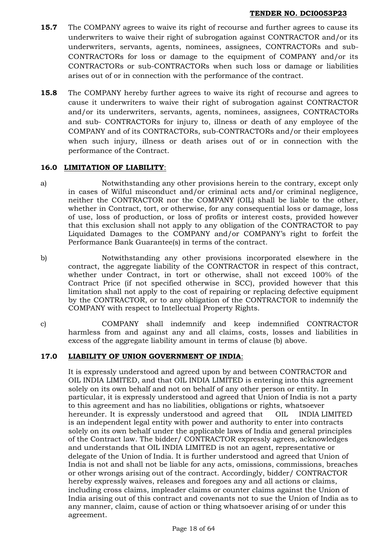- **15.7** The COMPANY agrees to waive its right of recourse and further agrees to cause its underwriters to waive their right of subrogation against CONTRACTOR and/or its underwriters, servants, agents, nominees, assignees, CONTRACTORs and sub-CONTRACTORs for loss or damage to the equipment of COMPANY and/or its CONTRACTORs or sub-CONTRACTORs when such loss or damage or liabilities arises out of or in connection with the performance of the contract.
- **15.8** The COMPANY hereby further agrees to waive its right of recourse and agrees to cause it underwriters to waive their right of subrogation against CONTRACTOR and/or its underwriters, servants, agents, nominees, assignees, CONTRACTORs and sub- CONTRACTORs for injury to, illness or death of any employee of the COMPANY and of its CONTRACTORs, sub-CONTRACTORs and/or their employees when such injury, illness or death arises out of or in connection with the performance of the Contract.

# **16.0 LIMITATION OF LIABILITY**:

- a) Notwithstanding any other provisions herein to the contrary, except only in cases of Wilful misconduct and/or criminal acts and/or criminal negligence, neither the CONTRACTOR nor the COMPANY (OIL) shall be liable to the other, whether in Contract, tort, or otherwise, for any consequential loss or damage, loss of use, loss of production, or loss of profits or interest costs, provided however that this exclusion shall not apply to any obligation of the CONTRACTOR to pay Liquidated Damages to the COMPANY and/or COMPANY's right to forfeit the Performance Bank Guarantee(s) in terms of the contract.
- b) Notwithstanding any other provisions incorporated elsewhere in the contract, the aggregate liability of the CONTRACTOR in respect of this contract, whether under Contract, in tort or otherwise, shall not exceed 100% of the Contract Price (if not specified otherwise in SCC), provided however that this limitation shall not apply to the cost of repairing or replacing defective equipment by the CONTRACTOR, or to any obligation of the CONTRACTOR to indemnify the COMPANY with respect to Intellectual Property Rights.
- c) COMPANY shall indemnify and keep indemnified CONTRACTOR harmless from and against any and all claims, costs, losses and liabilities in excess of the aggregate liability amount in terms of clause (b) above.

## **17.0 LIABILITY OF UNION GOVERNMENT OF INDIA**:

It is expressly understood and agreed upon by and between CONTRACTOR and OIL INDIA LIMITED, and that OIL INDIA LIMITED is entering into this agreement solely on its own behalf and not on behalf of any other person or entity. In particular, it is expressly understood and agreed that Union of India is not a party to this agreement and has no liabilities, obligations or rights, whatsoever hereunder. It is expressly understood and agreed that OIL INDIA LIMITED is an independent legal entity with power and authority to enter into contracts solely on its own behalf under the applicable laws of India and general principles of the Contract law. The bidder/ CONTRACTOR expressly agrees, acknowledges and understands that OIL INDIA LIMITED is not an agent, representative or delegate of the Union of India. It is further understood and agreed that Union of India is not and shall not be liable for any acts, omissions, commissions, breaches or other wrongs arising out of the contract. Accordingly, bidder/ CONTRACTOR hereby expressly waives, releases and foregoes any and all actions or claims, including cross claims, impleader claims or counter claims against the Union of India arising out of this contract and covenants not to sue the Union of India as to any manner, claim, cause of action or thing whatsoever arising of or under this agreement.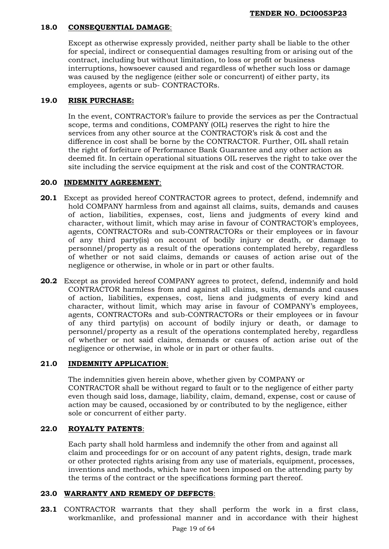## **18.0 CONSEQUENTIAL DAMAGE**:

Except as otherwise expressly provided, neither party shall be liable to the other for special, indirect or consequential damages resulting from or arising out of the contract, including but without limitation, to loss or profit or business interruptions, howsoever caused and regardless of whether such loss or damage was caused by the negligence (either sole or concurrent) of either party, its employees, agents or sub- CONTRACTORs.

# **19.0 RISK PURCHASE:**

In the event, CONTRACTOR's failure to provide the services as per the Contractual scope, terms and conditions, COMPANY (OIL) reserves the right to hire the services from any other source at the CONTRACTOR's risk & cost and the difference in cost shall be borne by the CONTRACTOR. Further, OIL shall retain the right of forfeiture of Performance Bank Guarantee and any other action as deemed fit. In certain operational situations OIL reserves the right to take over the site including the service equipment at the risk and cost of the CONTRACTOR.

# **20.0 INDEMNITY AGREEMENT**:

- **20.1** Except as provided hereof CONTRACTOR agrees to protect, defend, indemnify and hold COMPANY harmless from and against all claims, suits, demands and causes of action, liabilities, expenses, cost, liens and judgments of every kind and character, without limit, which may arise in favour of CONTRACTOR's employees, agents, CONTRACTORs and sub-CONTRACTORs or their employees or in favour of any third party(is) on account of bodily injury or death, or damage to personnel/property as a result of the operations contemplated hereby, regardless of whether or not said claims, demands or causes of action arise out of the negligence or otherwise, in whole or in part or other faults.
- **20.2** Except as provided hereof COMPANY agrees to protect, defend, indemnify and hold CONTRACTOR harmless from and against all claims, suits, demands and causes of action, liabilities, expenses, cost, liens and judgments of every kind and character, without limit, which may arise in favour of COMPANY's employees, agents, CONTRACTORs and sub-CONTRACTORs or their employees or in favour of any third party(is) on account of bodily injury or death, or damage to personnel/property as a result of the operations contemplated hereby, regardless of whether or not said claims, demands or causes of action arise out of the negligence or otherwise, in whole or in part or other faults.

# **21.0 INDEMNITY APPLICATION**:

The indemnities given herein above, whether given by COMPANY or CONTRACTOR shall be without regard to fault or to the negligence of either party even though said loss, damage, liability, claim, demand, expense, cost or cause of action may be caused, occasioned by or contributed to by the negligence, either sole or concurrent of either party.

## **22.0 ROYALTY PATENTS**:

Each party shall hold harmless and indemnify the other from and against all claim and proceedings for or on account of any patent rights, design, trade mark or other protected rights arising from any use of materials, equipment, processes, inventions and methods, which have not been imposed on the attending party by the terms of the contract or the specifications forming part thereof.

## **23.0 WARRANTY AND REMEDY OF DEFECTS**:

**23.1** CONTRACTOR warrants that they shall perform the work in a first class, workmanlike, and professional manner and in accordance with their highest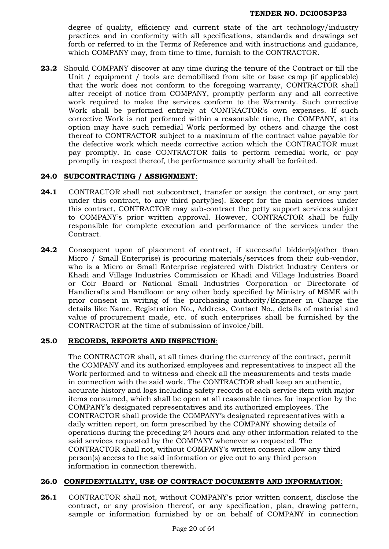degree of quality, efficiency and current state of the art technology/industry practices and in conformity with all specifications, standards and drawings set forth or referred to in the Terms of Reference and with instructions and guidance, which COMPANY may, from time to time, furnish to the CONTRACTOR.

**23.2** Should COMPANY discover at any time during the tenure of the Contract or till the Unit / equipment / tools are demobilised from site or base camp (if applicable) that the work does not conform to the foregoing warranty, CONTRACTOR shall after receipt of notice from COMPANY, promptly perform any and all corrective work required to make the services conform to the Warranty. Such corrective Work shall be performed entirely at CONTRACTOR's own expenses. If such corrective Work is not performed within a reasonable time, the COMPANY, at its option may have such remedial Work performed by others and charge the cost thereof to CONTRACTOR subject to a maximum of the contract value payable for the defective work which needs corrective action which the CONTRACTOR must pay promptly. In case CONTRACTOR fails to perform remedial work, or pay promptly in respect thereof, the performance security shall be forfeited.

# **24.0 SUBCONTRACTING / ASSIGNMENT**:

- **24.1** CONTRACTOR shall not subcontract, transfer or assign the contract, or any part under this contract, to any third party(ies). Except for the main services under this contract, CONTRACTOR may sub-contract the petty support services subject to COMPANY's prior written approval. However, CONTRACTOR shall be fully responsible for complete execution and performance of the services under the Contract.
- **24.2** Consequent upon of placement of contract, if successful bidder(s)(other than Micro / Small Enterprise) is procuring materials/services from their sub-vendor, who is a Micro or Small Enterprise registered with District Industry Centers or Khadi and Village Industries Commission or Khadi and Village Industries Board or Coir Board or National Small Industries Corporation or Directorate of Handicrafts and Handloom or any other body specified by Ministry of MSME with prior consent in writing of the purchasing authority/Engineer in Charge the details like Name, Registration No., Address, Contact No., details of material and value of procurement made, etc. of such enterprises shall be furnished by the CONTRACTOR at the time of submission of invoice/bill.

## **25.0 RECORDS, REPORTS AND INSPECTION**:

The CONTRACTOR shall, at all times during the currency of the contract, permit the COMPANY and its authorized employees and representatives to inspect all the Work performed and to witness and check all the measurements and tests made in connection with the said work. The CONTRACTOR shall keep an authentic, accurate history and logs including safety records of each service item with major items consumed, which shall be open at all reasonable times for inspection by the COMPANY's designated representatives and its authorized employees. The CONTRACTOR shall provide the COMPANY's designated representatives with a daily written report, on form prescribed by the COMPANY showing details of operations during the preceding 24 hours and any other information related to the said services requested by the COMPANY whenever so requested. The CONTRACTOR shall not, without COMPANY's written consent allow any third person(s) access to the said information or give out to any third person information in connection therewith.

## **26.0 CONFIDENTIALITY, USE OF CONTRACT DOCUMENTS AND INFORMATION**:

**26.1** CONTRACTOR shall not, without COMPANY's prior written consent, disclose the contract, or any provision thereof, or any specification, plan, drawing pattern, sample or information furnished by or on behalf of COMPANY in connection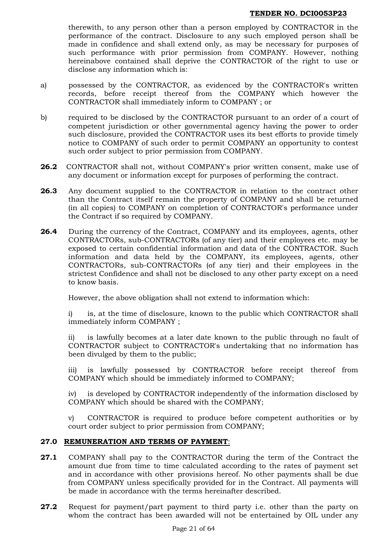therewith, to any person other than a person employed by CONTRACTOR in the performance of the contract. Disclosure to any such employed person shall be made in confidence and shall extend only, as may be necessary for purposes of such performance with prior permission from COMPANY. However, nothing hereinabove contained shall deprive the CONTRACTOR of the right to use or disclose any information which is:

- a) possessed by the CONTRACTOR, as evidenced by the CONTRACTOR's written records, before receipt thereof from the COMPANY which however the CONTRACTOR shall immediately inform to COMPANY ; or
- b) required to be disclosed by the CONTRACTOR pursuant to an order of a court of competent jurisdiction or other governmental agency having the power to order such disclosure, provided the CONTRACTOR uses its best efforts to provide timely notice to COMPANY of such order to permit COMPANY an opportunity to contest such order subject to prior permission from COMPANY.
- **26.2** CONTRACTOR shall not, without COMPANY's prior written consent, make use of any document or information except for purposes of performing the contract.
- **26.3** Any document supplied to the CONTRACTOR in relation to the contract other than the Contract itself remain the property of COMPANY and shall be returned (in all copies) to COMPANY on completion of CONTRACTOR's performance under the Contract if so required by COMPANY.
- **26.4** During the currency of the Contract, COMPANY and its employees, agents, other CONTRACTORs, sub-CONTRACTORs (of any tier) and their employees etc. may be exposed to certain confidential information and data of the CONTRACTOR. Such information and data held by the COMPANY, its employees, agents, other CONTRACTORs, sub-CONTRACTORs (of any tier) and their employees in the strictest Confidence and shall not be disclosed to any other party except on a need to know basis.

However, the above obligation shall not extend to information which:

i) is, at the time of disclosure, known to the public which CONTRACTOR shall immediately inform COMPANY ;

ii) is lawfully becomes at a later date known to the public through no fault of CONTRACTOR subject to CONTRACTOR's undertaking that no information has been divulged by them to the public;

iii) is lawfully possessed by CONTRACTOR before receipt thereof from COMPANY which should be immediately informed to COMPANY;

iv) is developed by CONTRACTOR independently of the information disclosed by COMPANY which should be shared with the COMPANY;

v) CONTRACTOR is required to produce before competent authorities or by court order subject to prior permission from COMPANY;

## **27.0 REMUNERATION AND TERMS OF PAYMENT**:

- **27.1** COMPANY shall pay to the CONTRACTOR during the term of the Contract the amount due from time to time calculated according to the rates of payment set and in accordance with other provisions hereof. No other payments shall be due from COMPANY unless specifically provided for in the Contract. All payments will be made in accordance with the terms hereinafter described.
- **27.2** Request for payment/part payment to third party i.e. other than the party on whom the contract has been awarded will not be entertained by OIL under any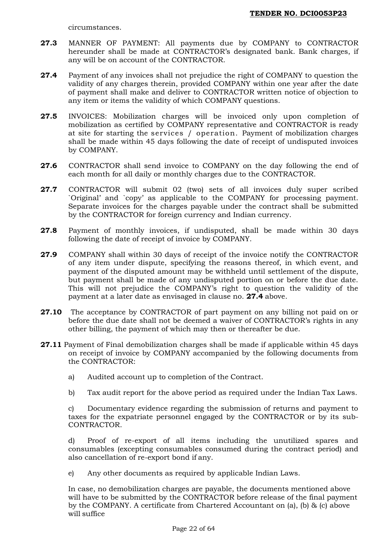circumstances.

- **27.3** MANNER OF PAYMENT: All payments due by COMPANY to CONTRACTOR hereunder shall be made at CONTRACTOR's designated bank. Bank charges, if any will be on account of the CONTRACTOR.
- **27.4** Payment of any invoices shall not prejudice the right of COMPANY to question the validity of any charges therein, provided COMPANY within one year after the date of payment shall make and deliver to CONTRACTOR written notice of objection to any item or items the validity of which COMPANY questions.
- **27.5** INVOICES: Mobilization charges will be invoiced only upon completion of mobilization as certified by COMPANY representative and CONTRACTOR is ready at site for starting the services / operation. Payment of mobilization charges shall be made within 45 days following the date of receipt of undisputed invoices by COMPANY.
- **27.6** CONTRACTOR shall send invoice to COMPANY on the day following the end of each month for all daily or monthly charges due to the CONTRACTOR.
- **27.7** CONTRACTOR will submit 02 (two) sets of all invoices duly super scribed `Original' and `copy' as applicable to the COMPANY for processing payment. Separate invoices for the charges payable under the contract shall be submitted by the CONTRACTOR for foreign currency and Indian currency.
- **27.8** Payment of monthly invoices, if undisputed, shall be made within 30 days following the date of receipt of invoice by COMPANY.
- **27.9** COMPANY shall within 30 days of receipt of the invoice notify the CONTRACTOR of any item under dispute, specifying the reasons thereof, in which event, and payment of the disputed amount may be withheld until settlement of the dispute, but payment shall be made of any undisputed portion on or before the due date. This will not prejudice the COMPANY's right to question the validity of the payment at a later date as envisaged in clause no. **27.4** above.
- **27.10** The acceptance by CONTRACTOR of part payment on any billing not paid on or before the due date shall not be deemed a waiver of CONTRACTOR's rights in any other billing, the payment of which may then or thereafter be due.
- **27.11** Payment of Final demobilization charges shall be made if applicable within 45 days on receipt of invoice by COMPANY accompanied by the following documents from the CONTRACTOR:
	- a) Audited account up to completion of the Contract.
	- b) Tax audit report for the above period as required under the Indian Tax Laws.

c) Documentary evidence regarding the submission of returns and payment to taxes for the expatriate personnel engaged by the CONTRACTOR or by its sub-CONTRACTOR.

d) Proof of re-export of all items including the unutilized spares and consumables (excepting consumables consumed during the contract period) and also cancellation of re-export bond if any.

e) Any other documents as required by applicable Indian Laws.

In case, no demobilization charges are payable, the documents mentioned above will have to be submitted by the CONTRACTOR before release of the final payment by the COMPANY. A certificate from Chartered Accountant on (a), (b) & (c) above will suffice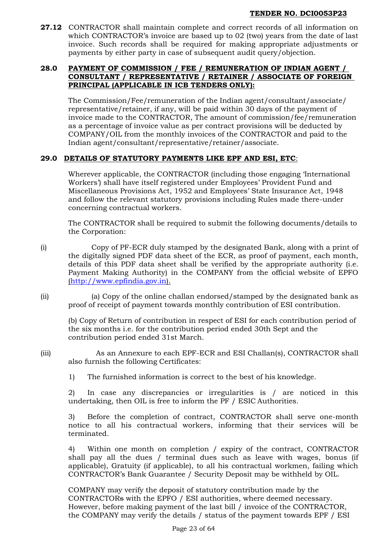**27.12** CONTRACTOR shall maintain complete and correct records of all information on which CONTRACTOR's invoice are based up to 02 (two) years from the date of last invoice. Such records shall be required for making appropriate adjustments or payments by either party in case of subsequent audit query/objection.

## **28.0 PAYMENT OF COMMISSION / FEE / REMUNERATION OF INDIAN AGENT / CONSULTANT / REPRESENTATIVE / RETAINER / ASSOCIATE OF FOREIGN PRINCIPAL (APPLICABLE IN ICB TENDERS ONLY):**

The Commission/Fee/remuneration of the Indian agent/consultant/associate/ representative/retainer, if any, will be paid within 30 days of the payment of invoice made to the CONTRACTOR, The amount of commission/fee/remuneration as a percentage of invoice value as per contract provisions will be deducted by COMPANY/OIL from the monthly invoices of the CONTRACTOR and paid to the Indian agent/consultant/representative/retainer/associate.

# **29.0 DETAILS OF STATUTORY PAYMENTS LIKE EPF AND ESI, ETC**:

Wherever applicable, the CONTRACTOR (including those engaging 'International Workers') shall have itself registered under Employees' Provident Fund and Miscellaneous Provisions Act, 1952 and Employees' State Insurance Act, 1948 and follow the relevant statutory provisions including Rules made there-under concerning contractual workers.

The CONTRACTOR shall be required to submit the following documents/details to the Corporation:

(i) Copy of PF-ECR duly stamped by the designated Bank, along with a print of the digitally signed PDF data sheet of the ECR, as proof of payment, each month, details of this PDF data sheet shall be verified by the appropriate authority (i.e. Payment Making Authority) in the COMPANY from the official website of EPFO [\(http://www.epfindia.gov.in\)](http://www.epfindia.gov.in/).

(ii) (a) Copy of the online challan endorsed/stamped by the designated bank as proof of receipt of payment towards monthly contribution of ESI contribution.

(b) Copy of Return of contribution in respect of ESI for each contribution period of the six months i.e. for the contribution period ended 30th Sept and the contribution period ended 31st March.

(iii) As an Annexure to each EPF-ECR and ESI Challan(s), CONTRACTOR shall also furnish the following Certificates:

1) The furnished information is correct to the best of his knowledge.

2) In case any discrepancies or irregularities is / are noticed in this undertaking, then OIL is free to inform the PF / ESIC Authorities.

3) Before the completion of contract, CONTRACTOR shall serve one-month notice to all his contractual workers, informing that their services will be terminated.

4) Within one month on completion / expiry of the contract, CONTRACTOR shall pay all the dues / terminal dues such as leave with wages, bonus (if applicable), Gratuity (if applicable), to all his contractual workmen, failing which CONTRACTOR's Bank Guarantee / Security Deposit may be withheld by OIL.

COMPANY may verify the deposit of statutory contribution made by the CONTRACTORs with the EPFO / ESI authorities, where deemed necessary. However, before making payment of the last bill / invoice of the CONTRACTOR, the COMPANY may verify the details / status of the payment towards EPF / ESI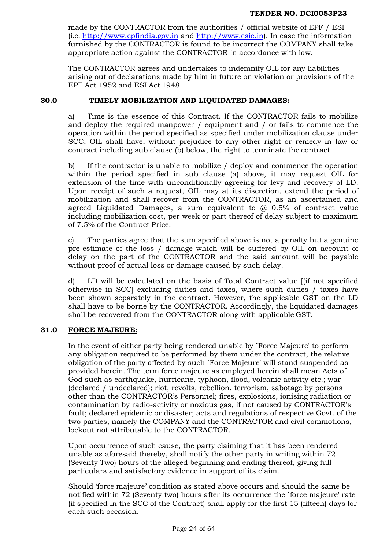made by the CONTRACTOR from the authorities / official website of EPF / ESI (i.e. [http://www.epfindia.gov.in](http://www.epfindia.gov.in/) and [http://www.esic.in\)](http://www.esic.in/). In case the information furnished by the CONTRACTOR is found to be incorrect the COMPANY shall take appropriate action against the CONTRACTOR in accordance with law.

The CONTRACTOR agrees and undertakes to indemnify OIL for any liabilities arising out of declarations made by him in future on violation or provisions of the EPF Act 1952 and ESI Act 1948.

## **30.0 TIMELY MOBILIZATION AND LIQUIDATED DAMAGES:**

a) Time is the essence of this Contract. If the CONTRACTOR fails to mobilize and deploy the required manpower / equipment and / or fails to commence the operation within the period specified as specified under mobilization clause under SCC, OIL shall have, without prejudice to any other right or remedy in law or contract including sub clause (b) below, the right to terminate the contract.

b) If the contractor is unable to mobilize / deploy and commence the operation within the period specified in sub clause (a) above, it may request OIL for extension of the time with unconditionally agreeing for levy and recovery of LD. Upon receipt of such a request, OIL may at its discretion, extend the period of mobilization and shall recover from the CONTRACTOR, as an ascertained and agreed Liquidated Damages, a sum equivalent to  $\omega$  0.5% of contract value including mobilization cost, per week or part thereof of delay subject to maximum of 7.5% of the Contract Price.

c) The parties agree that the sum specified above is not a penalty but a genuine pre-estimate of the loss / damage which will be suffered by OIL on account of delay on the part of the CONTRACTOR and the said amount will be payable without proof of actual loss or damage caused by such delay.

d) LD will be calculated on the basis of Total Contract value [(if not specified otherwise in SCC] excluding duties and taxes, where such duties / taxes have been shown separately in the contract. However, the applicable GST on the LD shall have to be borne by the CONTRACTOR. Accordingly, the liquidated damages shall be recovered from the CONTRACTOR along with applicable GST.

## **31.0 FORCE MAJEURE:**

In the event of either party being rendered unable by `Force Majeure' to perform any obligation required to be performed by them under the contract, the relative obligation of the party affected by such `Force Majeure' will stand suspended as provided herein. The term force majeure as employed herein shall mean Acts of God such as earthquake, hurricane, typhoon, flood, volcanic activity etc.; war (declared / undeclared); riot, revolts, rebellion, terrorism, sabotage by persons other than the CONTRACTOR's Personnel; fires, explosions, ionising radiation or contamination by radio-activity or noxious gas, if not caused by CONTRACTOR's fault; declared epidemic or disaster; acts and regulations of respective Govt. of the two parties, namely the COMPANY and the CONTRACTOR and civil commotions, lockout not attributable to the CONTRACTOR.

Upon occurrence of such cause, the party claiming that it has been rendered unable as aforesaid thereby, shall notify the other party in writing within 72 (Seventy Two) hours of the alleged beginning and ending thereof, giving full particulars and satisfactory evidence in support of its claim.

Should 'force majeure' condition as stated above occurs and should the same be notified within 72 (Seventy two) hours after its occurrence the `force majeure' rate (if specified in the SCC of the Contract) shall apply for the first 15 (fifteen) days for each such occasion*.*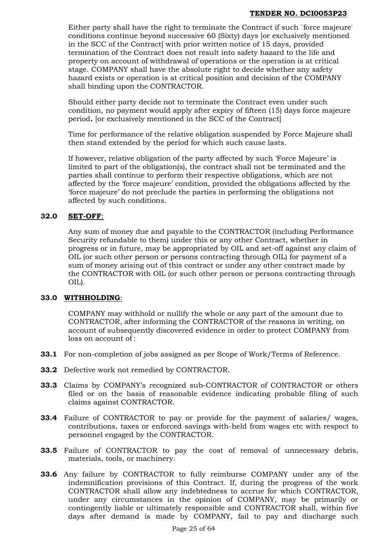Either party shall have the right to terminate the Contract if such `force majeure' conditions continue beyond successive 60 (Sixty) days [or exclusively mentioned in the SCC of the Contract] with prior written notice of 15 days, provided termination of the Contract does not result into safety hazard to the life and property on account of withdrawal of operations or the operation is at critical stage. COMPANY shall have the absolute right to decide whether any safety hazard exists or operation is at critical position and decision of the COMPANY shall binding upon the CONTRACTOR.

Should either party decide not to terminate the Contract even under such condition, no payment would apply after expiry of fifteen (15) days force majeure period*.* [or exclusively mentioned in the SCC of the Contract]

Time for performance of the relative obligation suspended by Force Majeure shall then stand extended by the period for which such cause lasts.

If however, relative obligation of the party affected by such 'Force Majeure' is limited to part of the obligation(s), the contract shall not be terminated and the parties shall continue to perform their respective obligations, which are not affected by the 'force majeure' condition, provided the obligations affected by the 'force majeure' do not preclude the parties in performing the obligations not affected by such conditions.

# **32.0 SET-OFF**:

Any sum of money due and payable to the CONTRACTOR (including Performance Security refundable to them) under this or any other Contract, whether in progress or in future, may be appropriated by OIL and set-off against any claim of OIL (or such other person or persons contracting through OIL) for payment of a sum of money arising out of this contract or under any other contract made by the CONTRACTOR with OIL (or such other person or persons contracting through OIL).

## **33.0 WITHHOLDING**:

COMPANY may withhold or nullify the whole or any part of the amount due to CONTRACTOR, after informing the CONTRACTOR of the reasons in writing, on account of subsequently discovered evidence in order to protect COMPANY from loss on account of :

- **33.1** For non-completion of jobs assigned as per Scope of Work/Terms of Reference.
- **33.2** Defective work not remedied by CONTRACTOR.
- **33.3** Claims by COMPANY's recognized sub-CONTRACTOR of CONTRACTOR or others filed or on the basis of reasonable evidence indicating probable filing of such claims against CONTRACTOR.
- **33.4** Failure of CONTRACTOR to pay or provide for the payment of salaries/ wages, contributions, taxes or enforced savings with-held from wages etc with respect to personnel engaged by the CONTRACTOR.
- **33.5** Failure of CONTRACTOR to pay the cost of removal of unnecessary debris, materials, tools, or machinery.
- **33.6** Any failure by CONTRACTOR to fully reimburse COMPANY under any of the indemnification provisions of this Contract. If, during the progress of the work CONTRACTOR shall allow any indebtedness to accrue for which CONTRACTOR, under any circumstances in the opinion of COMPANY, may be primarily or contingently liable or ultimately responsible and CONTRACTOR shall, within five days after demand is made by COMPANY, fail to pay and discharge such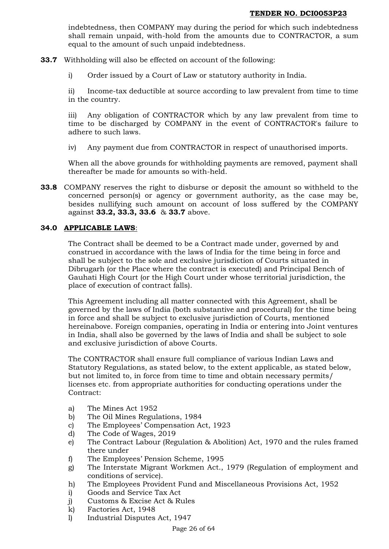indebtedness, then COMPANY may during the period for which such indebtedness shall remain unpaid, with-hold from the amounts due to CONTRACTOR, a sum equal to the amount of such unpaid indebtedness.

- **33.7** Withholding will also be effected on account of the following:
	- i) Order issued by a Court of Law or statutory authority in India.

ii) Income-tax deductible at source according to law prevalent from time to time in the country.

iii) Any obligation of CONTRACTOR which by any law prevalent from time to time to be discharged by COMPANY in the event of CONTRACTOR's failure to adhere to such laws.

iv) Any payment due from CONTRACTOR in respect of unauthorised imports.

When all the above grounds for withholding payments are removed, payment shall thereafter be made for amounts so with-held.

**33.8** COMPANY reserves the right to disburse or deposit the amount so withheld to the concerned person(s) or agency or government authority, as the case may be, besides nullifying such amount on account of loss suffered by the COMPANY against **33.2, 33.3, 33.6** & **33.7** above.

## **34.0 APPLICABLE LAWS**:

The Contract shall be deemed to be a Contract made under, governed by and construed in accordance with the laws of India for the time being in force and shall be subject to the sole and exclusive jurisdiction of Courts situated in Dibrugarh (or the Place where the contract is executed) and Principal Bench of Gauhati High Court (or the High Court under whose territorial jurisdiction, the place of execution of contract falls).

This Agreement including all matter connected with this Agreement, shall be governed by the laws of India (both substantive and procedural) for the time being in force and shall be subject to exclusive jurisdiction of Courts, mentioned hereinabove. Foreign companies, operating in India or entering into Joint ventures in India, shall also be governed by the laws of India and shall be subject to sole and exclusive jurisdiction of above Courts.

The CONTRACTOR shall ensure full compliance of various Indian Laws and Statutory Regulations, as stated below, to the extent applicable, as stated below, but not limited to, in force from time to time and obtain necessary permits/ licenses etc. from appropriate authorities for conducting operations under the Contract:

- a) The Mines Act 1952
- b) The Oil Mines Regulations, 1984
- c) The Employees' Compensation Act, 1923
- d) The Code of Wages, 2019
- e) The Contract Labour (Regulation & Abolition) Act, 1970 and the rules framed there under
- f) The Employees' Pension Scheme, 1995
- g) The Interstate Migrant Workmen Act., 1979 (Regulation of employment and conditions of service).
- h) The Employees Provident Fund and Miscellaneous Provisions Act, 1952
- i) Goods and Service Tax Act
- j) Customs & Excise Act & Rules
- k) Factories Act, 1948
- l) Industrial Disputes Act, 1947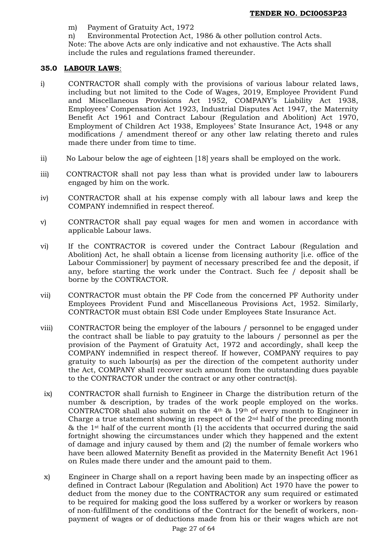- m) Payment of Gratuity Act, 1972
- n) Environmental Protection Act, 1986 & other pollution control Acts.
- Note: The above Acts are only indicative and not exhaustive. The Acts shall include the rules and regulations framed thereunder.

#### **35.0 LABOUR LAWS**:

- i) CONTRACTOR shall comply with the provisions of various labour related laws, including but not limited to the Code of Wages, 2019, Employee Provident Fund and Miscellaneous Provisions Act 1952, COMPANY's Liability Act 1938, Employees' Compensation Act 1923, Industrial Disputes Act 1947, the Maternity Benefit Act 1961 and Contract Labour (Regulation and Abolition) Act 1970, Employment of Children Act 1938, Employees' State Insurance Act, 1948 or any modifications / amendment thereof or any other law relating thereto and rules made there under from time to time.
- ii) No Labour below the age of eighteen [18] years shall be employed on the work.
- iii) CONTRACTOR shall not pay less than what is provided under law to labourers engaged by him on the work.
- iv) CONTRACTOR shall at his expense comply with all labour laws and keep the COMPANY indemnified in respect thereof.
- v) CONTRACTOR shall pay equal wages for men and women in accordance with applicable Labour laws.
- vi) If the CONTRACTOR is covered under the Contract Labour (Regulation and Abolition) Act, he shall obtain a license from licensing authority [i.e. office of the Labour Commissioner] by payment of necessary prescribed fee and the deposit, if any, before starting the work under the Contract. Such fee / deposit shall be borne by the CONTRACTOR.
- vii) CONTRACTOR must obtain the PF Code from the concerned PF Authority under Employees Provident Fund and Miscellaneous Provisions Act, 1952. Similarly, CONTRACTOR must obtain ESI Code under Employees State Insurance Act.
- viii) CONTRACTOR being the employer of the labours / personnel to be engaged under the contract shall be liable to pay gratuity to the labours / personnel as per the provision of the Payment of Gratuity Act, 1972 and accordingly, shall keep the COMPANY indemnified in respect thereof. If however, COMPANY requires to pay gratuity to such labour(s) as per the direction of the competent authority under the Act, COMPANY shall recover such amount from the outstanding dues payable to the CONTRACTOR under the contract or any other contract(s).
- ix) CONTRACTOR shall furnish to Engineer in Charge the distribution return of the number & description, by trades of the work people employed on the works. CONTRACTOR shall also submit on the 4th & 19th of every month to Engineer in Charge a true statement showing in respect of the  $2<sup>nd</sup>$  half of the preceding month  $\&$  the 1<sup>st</sup> half of the current month (1) the accidents that occurred during the said fortnight showing the circumstances under which they happened and the extent of damage and injury caused by them and (2) the number of female workers who have been allowed Maternity Benefit as provided in the Maternity Benefit Act 1961 on Rules made there under and the amount paid to them.
- x) Engineer in Charge shall on a report having been made by an inspecting officer as defined in Contract Labour (Regulation and Abolition) Act 1970 have the power to deduct from the money due to the CONTRACTOR any sum required or estimated to be required for making good the loss suffered by a worker or workers by reason of non-fulfillment of the conditions of the Contract for the benefit of workers, nonpayment of wages or of deductions made from his or their wages which are not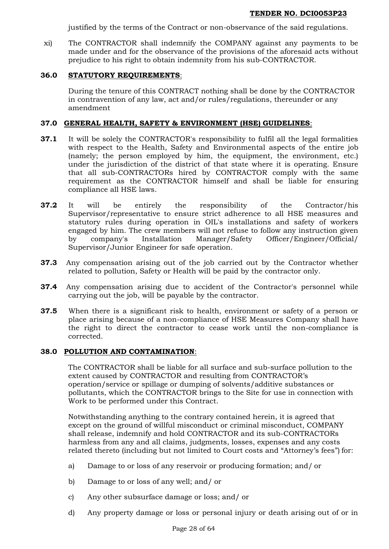justified by the terms of the Contract or non-observance of the said regulations.

xi) The CONTRACTOR shall indemnify the COMPANY against any payments to be made under and for the observance of the provisions of the aforesaid acts without prejudice to his right to obtain indemnity from his sub-CONTRACTOR.

## **36.0 STATUTORY REQUIREMENTS**:

During the tenure of this CONTRACT nothing shall be done by the CONTRACTOR in contravention of any law, act and/or rules/regulations, thereunder or any amendment

#### **37.0 GENERAL HEALTH, SAFETY & ENVIRONMENT (HSE) GUIDELINES**:

- **37.1** It will be solely the CONTRACTOR's responsibility to fulfil all the legal formalities with respect to the Health, Safety and Environmental aspects of the entire job (namely; the person employed by him, the equipment, the environment, etc.) under the jurisdiction of the district of that state where it is operating. Ensure that all sub-CONTRACTORs hired by CONTRACTOR comply with the same requirement as the CONTRACTOR himself and shall be liable for ensuring compliance all HSE laws.
- **37.2** It will be entirely the responsibility of the Contractor/his Supervisor/representative to ensure strict adherence to all HSE measures and statutory rules during operation in OIL's installations and safety of workers engaged by him. The crew members will not refuse to follow any instruction given by company's Installation Manager/Safety Officer/Engineer/Official/ Supervisor/Junior Engineer for safe operation.
- **37.3** Any compensation arising out of the job carried out by the Contractor whether related to pollution, Safety or Health will be paid by the contractor only.
- **37.4** Any compensation arising due to accident of the Contractor's personnel while carrying out the job, will be payable by the contractor.
- **37.5** When there is a significant risk to health, environment or safety of a person or place arising because of a non-compliance of HSE Measures Company shall have the right to direct the contractor to cease work until the non-compliance is corrected.

#### **38.0 POLLUTION AND CONTAMINATION**:

The CONTRACTOR shall be liable for all surface and sub-surface pollution to the extent caused by CONTRACTOR and resulting from CONTRACTOR's operation/service or spillage or dumping of solvents/additive substances or pollutants, which the CONTRACTOR brings to the Site for use in connection with Work to be performed under this Contract.

Notwithstanding anything to the contrary contained herein, it is agreed that except on the ground of willful misconduct or criminal misconduct, COMPANY shall release, indemnify and hold CONTRACTOR and its sub-CONTRACTORs harmless from any and all claims, judgments, losses, expenses and any costs related thereto (including but not limited to Court costs and "Attorney's fees") for:

- a) Damage to or loss of any reservoir or producing formation; and/ or
- b) Damage to or loss of any well; and/ or
- c) Any other subsurface damage or loss; and/ or
- d) Any property damage or loss or personal injury or death arising out of or in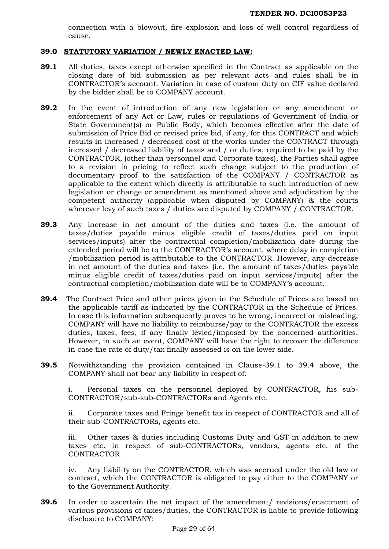connection with a blowout, fire explosion and loss of well control regardless of cause.

#### **39.0 STATUTORY VARIATION / NEWLY ENACTED LAW:**

- **39.1** All duties, taxes except otherwise specified in the Contract as applicable on the closing date of bid submission as per relevant acts and rules shall be in CONTRACTOR's account. Variation in case of custom duty on CIF value declared by the bidder shall be to COMPANY account.
- **39.2** In the event of introduction of any new legislation or any amendment or enforcement of any Act or Law, rules or regulations of Government of India or State Government(s) or Public Body, which becomes effective after the date of submission of Price Bid or revised price bid, if any, for this CONTRACT and which results in increased / decreased cost of the works under the CONTRACT through increased / decreased liability of taxes and / or duties, required to be paid by the CONTRACTOR, (other than personnel and Corporate taxes), the Parties shall agree to a revision in pricing to reflect such change subject to the production of documentary proof to the satisfaction of the COMPANY / CONTRACTOR as applicable to the extent which directly is attributable to such introduction of new legislation or change or amendment as mentioned above and adjudication by the competent authority (applicable when disputed by COMPANY) & the courts wherever levy of such taxes / duties are disputed by COMPANY / CONTRACTOR.
- **39.3** Any increase in net amount of the duties and taxes (i.e. the amount of taxes/duties payable minus eligible credit of taxes/duties paid on input services/inputs) after the contractual completion/mobilization date during the extended period will be to the CONTRACTOR's account, where delay in completion /mobilization period is attributable to the CONTRACTOR. However, any decrease in net amount of the duties and taxes (i.e. the amount of taxes/duties payable minus eligible credit of taxes/duties paid on input services/inputs) after the contractual completion/mobilization date will be to COMPANY's account.
- **39.4** The Contract Price and other prices given in the Schedule of Prices are based on the applicable tariff as indicated by the CONTRACTOR in the Schedule of Prices. In case this information subsequently proves to be wrong, incorrect or misleading, COMPANY will have no liability to reimburse/pay to the CONTRACTOR the excess duties, taxes, fees, if any finally levied/imposed by the concerned authorities. However, in such an event, COMPANY will have the right to recover the difference in case the rate of duty/tax finally assessed is on the lower side.
- **39.5** Notwithstanding the provision contained in Clause-39.1 to 39.4 above, the COMPANY shall not bear any liability in respect of:

i. Personal taxes on the personnel deployed by CONTRACTOR, his sub-CONTRACTOR/sub-sub-CONTRACTORs and Agents etc.

ii. Corporate taxes and Fringe benefit tax in respect of CONTRACTOR and all of their sub-CONTRACTORs, agents etc.

iii. Other taxes & duties including Customs Duty and GST in addition to new taxes etc. in respect of sub-CONTRACTORs, vendors, agents etc. of the CONTRACTOR.

iv. Any liability on the CONTRACTOR, which was accrued under the old law or contract, which the CONTRACTOR is obligated to pay either to the COMPANY or to the Government Authority.

**39.6** In order to ascertain the net impact of the amendment/ revisions/enactment of various provisions of taxes/duties, the CONTRACTOR is liable to provide following disclosure to COMPANY: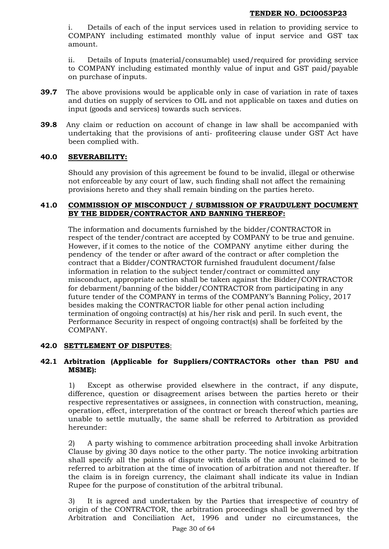i. Details of each of the input services used in relation to providing service to COMPANY including estimated monthly value of input service and GST tax amount.

ii. Details of Inputs (material/consumable) used/required for providing service to COMPANY including estimated monthly value of input and GST paid/payable on purchase of inputs.

- **39.7** The above provisions would be applicable only in case of variation in rate of taxes and duties on supply of services to OIL and not applicable on taxes and duties on input (goods and services) towards such services.
- **39.8** Any claim or reduction on account of change in law shall be accompanied with undertaking that the provisions of anti- profiteering clause under GST Act have been complied with.

## **40.0 SEVERABILITY:**

Should any provision of this agreement be found to be invalid, illegal or otherwise not enforceable by any court of law, such finding shall not affect the remaining provisions hereto and they shall remain binding on the parties hereto.

## **41.0 COMMISSION OF MISCONDUCT / SUBMISSION OF FRAUDULENT DOCUMENT BY THE BIDDER/CONTRACTOR AND BANNING THEREOF:**

The information and documents furnished by the bidder/CONTRACTOR in respect of the tender/contract are accepted by COMPANY to be true and genuine. However, if it comes to the notice of the COMPANY anytime either during the pendency of the tender or after award of the contract or after completion the contract that a Bidder/CONTRACTOR furnished fraudulent document/false information in relation to the subject tender/contract or committed any misconduct, appropriate action shall be taken against the Bidder/CONTRACTOR for debarment/banning of the bidder/CONTRACTOR from participating in any future tender of the COMPANY in terms of the COMPANY's Banning Policy, 2017 besides making the CONTRACTOR liable for other penal action including termination of ongoing contract(s) at his/her risk and peril. In such event, the Performance Security in respect of ongoing contract(s) shall be forfeited by the COMPANY.

#### **42.0 SETTLEMENT OF DISPUTES**:

## **42.1 Arbitration (Applicable for Suppliers/CONTRACTORs other than PSU and MSME):**

1) Except as otherwise provided elsewhere in the contract, if any dispute, difference, question or disagreement arises between the parties hereto or their respective representatives or assignees, in connection with construction, meaning, operation, effect, interpretation of the contract or breach thereof which parties are unable to settle mutually, the same shall be referred to Arbitration as provided hereunder:

2) A party wishing to commence arbitration proceeding shall invoke Arbitration Clause by giving 30 days notice to the other party. The notice invoking arbitration shall specify all the points of dispute with details of the amount claimed to be referred to arbitration at the time of invocation of arbitration and not thereafter. If the claim is in foreign currency, the claimant shall indicate its value in Indian Rupee for the purpose of constitution of the arbitral tribunal.

3) It is agreed and undertaken by the Parties that irrespective of country of origin of the CONTRACTOR, the arbitration proceedings shall be governed by the Arbitration and Conciliation Act, 1996 and under no circumstances, the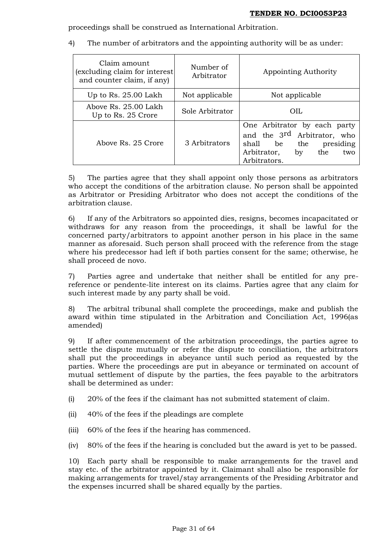proceedings shall be construed as International Arbitration.

- Claim amount (excluding claim for interest and counter claim, if any) Number of Arbitrator Appointing Authority Up to Rs. 25.00 Lakh  $\parallel$  Not applicable  $\parallel$  Not applicable Above Rs. 25.00 Lakh bove KS. 25.00 Lakii  $\begin{array}{c} \text{Sole Arbitrary} \\ \text{Up to Rs. 25 Crore} \end{array}$  Sole Arbitrator  $\begin{array}{c} \text{OIL} \end{array}$ Above Rs. 25 Crore | 3 Arbitrators One Arbitrator by each party and the 3rd Arbitrator, who shall be the presiding Arbitrator, by the two Arbitrators.
- 4) The number of arbitrators and the appointing authority will be as under:

5) The parties agree that they shall appoint only those persons as arbitrators who accept the conditions of the arbitration clause. No person shall be appointed as Arbitrator or Presiding Arbitrator who does not accept the conditions of the arbitration clause.

6) If any of the Arbitrators so appointed dies, resigns, becomes incapacitated or withdraws for any reason from the proceedings, it shall be lawful for the concerned party/arbitrators to appoint another person in his place in the same manner as aforesaid. Such person shall proceed with the reference from the stage where his predecessor had left if both parties consent for the same; otherwise, he shall proceed de novo.

7) Parties agree and undertake that neither shall be entitled for any prereference or pendente-lite interest on its claims. Parties agree that any claim for such interest made by any party shall be void.

8) The arbitral tribunal shall complete the proceedings, make and publish the award within time stipulated in the Arbitration and Conciliation Act, 1996(as amended)

9) If after commencement of the arbitration proceedings, the parties agree to settle the dispute mutually or refer the dispute to conciliation, the arbitrators shall put the proceedings in abeyance until such period as requested by the parties. Where the proceedings are put in abeyance or terminated on account of mutual settlement of dispute by the parties, the fees payable to the arbitrators shall be determined as under:

(i) 20% of the fees if the claimant has not submitted statement of claim.

- (ii) 40% of the fees if the pleadings are complete
- (iii) 60% of the fees if the hearing has commenced.
- (iv) 80% of the fees if the hearing is concluded but the award is yet to be passed.

10) Each party shall be responsible to make arrangements for the travel and stay etc. of the arbitrator appointed by it. Claimant shall also be responsible for making arrangements for travel/stay arrangements of the Presiding Arbitrator and the expenses incurred shall be shared equally by the parties.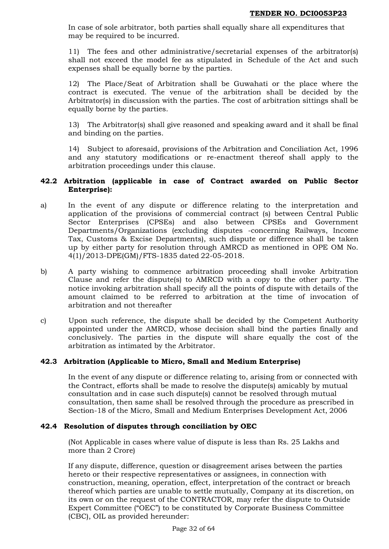In case of sole arbitrator, both parties shall equally share all expenditures that may be required to be incurred.

11) The fees and other administrative/secretarial expenses of the arbitrator(s) shall not exceed the model fee as stipulated in Schedule of the Act and such expenses shall be equally borne by the parties.

12) The Place/Seat of Arbitration shall be Guwahati or the place where the contract is executed. The venue of the arbitration shall be decided by the Arbitrator(s) in discussion with the parties. The cost of arbitration sittings shall be equally borne by the parties.

13) The Arbitrator(s) shall give reasoned and speaking award and it shall be final and binding on the parties.

14) Subject to aforesaid, provisions of the Arbitration and Conciliation Act, 1996 and any statutory modifications or re-enactment thereof shall apply to the arbitration proceedings under this clause.

## **42.2 Arbitration (applicable in case of Contract awarded on Public Sector Enterprise):**

- a) In the event of any dispute or difference relating to the interpretation and application of the provisions of commercial contract (s) between Central Public Sector Enterprises (CPSEs) and also between CPSEs and Government Departments/Organizations (excluding disputes -concerning Railways, Income Tax, Customs & Excise Departments), such dispute or difference shall be taken up by either party for resolution through AMRCD as mentioned in OPE OM No. 4(1)/2013-DPE(GM)/FTS-1835 dated 22-05-2018.
- b) A party wishing to commence arbitration proceeding shall invoke Arbitration Clause and refer the dispute(s) to AMRCD with a copy to the other party. The notice invoking arbitration shall specify all the points of dispute with details of the amount claimed to be referred to arbitration at the time of invocation of arbitration and not thereafter
- c) Upon such reference, the dispute shall be decided by the Competent Authority appointed under the AMRCD, whose decision shall bind the parties finally and conclusively. The parties in the dispute will share equally the cost of the arbitration as intimated by the Arbitrator.

## **42.3 Arbitration (Applicable to Micro, Small and Medium Enterprise)**

In the event of any dispute or difference relating to, arising from or connected with the Contract, efforts shall be made to resolve the dispute(s) amicably by mutual consultation and in case such dispute(s) cannot be resolved through mutual consultation, then same shall be resolved through the procedure as prescribed in Section-18 of the Micro, Small and Medium Enterprises Development Act, 2006

## **42.4 Resolution of disputes through conciliation by OEC**

(Not Applicable in cases where value of dispute is less than Rs. 25 Lakhs and more than 2 Crore)

If any dispute, difference, question or disagreement arises between the parties hereto or their respective representatives or assignees, in connection with construction, meaning, operation, effect, interpretation of the contract or breach thereof which parties are unable to settle mutually, Company at its discretion, on its own or on the request of the CONTRACTOR, may refer the dispute to Outside Expert Committee ("OEC") to be constituted by Corporate Business Committee (CBC), OIL as provided hereunder: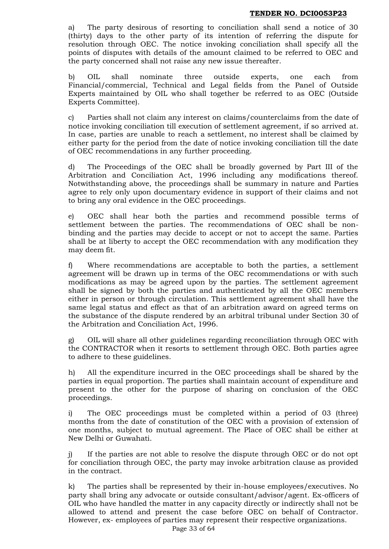a) The party desirous of resorting to conciliation shall send a notice of 30 (thirty) days to the other party of its intention of referring the dispute for resolution through OEC. The notice invoking conciliation shall specify all the points of disputes with details of the amount claimed to be referred to OEC and the party concerned shall not raise any new issue thereafter.

b) OIL shall nominate three outside experts, one each from Financial/commercial, Technical and Legal fields from the Panel of Outside Experts maintained by OIL who shall together be referred to as OEC (Outside Experts Committee).

c) Parties shall not claim any interest on claims/counterclaims from the date of notice invoking conciliation till execution of settlement agreement, if so arrived at. In case, parties are unable to reach a settlement, no interest shall be claimed by either party for the period from the date of notice invoking conciliation till the date of OEC recommendations in any further proceeding.

d) The Proceedings of the OEC shall be broadly governed by Part III of the Arbitration and Conciliation Act, 1996 including any modifications thereof. Notwithstanding above, the proceedings shall be summary in nature and Parties agree to rely only upon documentary evidence in support of their claims and not to bring any oral evidence in the OEC proceedings.

e) OEC shall hear both the parties and recommend possible terms of settlement between the parties. The recommendations of OEC shall be nonbinding and the parties may decide to accept or not to accept the same. Parties shall be at liberty to accept the OEC recommendation with any modification they may deem fit.

f) Where recommendations are acceptable to both the parties, a settlement agreement will be drawn up in terms of the OEC recommendations or with such modifications as may be agreed upon by the parties. The settlement agreement shall be signed by both the parties and authenticated by all the OEC members either in person or through circulation. This settlement agreement shall have the same legal status and effect as that of an arbitration award on agreed terms on the substance of the dispute rendered by an arbitral tribunal under Section 30 of the Arbitration and Conciliation Act, 1996.

g) OIL will share all other guidelines regarding reconciliation through OEC with the CONTRACTOR when it resorts to settlement through OEC. Both parties agree to adhere to these guidelines.

h) All the expenditure incurred in the OEC proceedings shall be shared by the parties in equal proportion. The parties shall maintain account of expenditure and present to the other for the purpose of sharing on conclusion of the OEC proceedings.

i) The OEC proceedings must be completed within a period of 03 (three) months from the date of constitution of the OEC with a provision of extension of one months, subject to mutual agreement. The Place of OEC shall be either at New Delhi or Guwahati.

j) If the parties are not able to resolve the dispute through OEC or do not opt for conciliation through OEC, the party may invoke arbitration clause as provided in the contract.

k) The parties shall be represented by their in-house employees/executives. No party shall bring any advocate or outside consultant/advisor/agent. Ex-officers of OIL who have handled the matter in any capacity directly or indirectly shall not be allowed to attend and present the case before OEC on behalf of Contractor. However, ex- employees of parties may represent their respective organizations.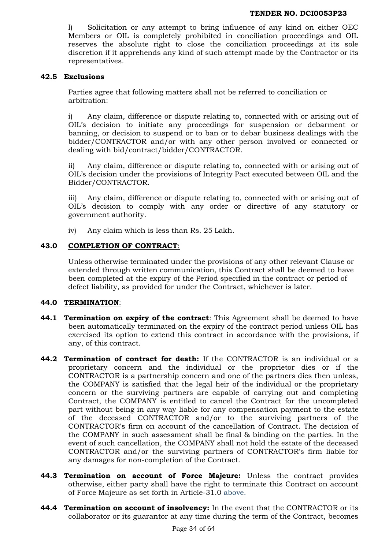l) Solicitation or any attempt to bring influence of any kind on either OEC Members or OIL is completely prohibited in conciliation proceedings and OIL reserves the absolute right to close the conciliation proceedings at its sole discretion if it apprehends any kind of such attempt made by the Contractor or its representatives.

#### **42.5 Exclusions**

Parties agree that following matters shall not be referred to conciliation or arbitration:

i) Any claim, difference or dispute relating to, connected with or arising out of OIL's decision to initiate any proceedings for suspension or debarment or banning, or decision to suspend or to ban or to debar business dealings with the bidder/CONTRACTOR and/or with any other person involved or connected or dealing with bid/contract/bidder/CONTRACTOR.

ii) Any claim, difference or dispute relating to, connected with or arising out of OIL's decision under the provisions of Integrity Pact executed between OIL and the Bidder/CONTRACTOR.

iii) Any claim, difference or dispute relating to, connected with or arising out of OIL's decision to comply with any order or directive of any statutory or government authority.

iv) Any claim which is less than Rs. 25 Lakh.

## **43.0 COMPLETION OF CONTRACT**:

Unless otherwise terminated under the provisions of any other relevant Clause or extended through written communication, this Contract shall be deemed to have been completed at the expiry of the Period specified in the contract or period of defect liability, as provided for under the Contract, whichever is later.

#### **44.0 TERMINATION**:

- **44.1 Termination on expiry of the contract**: This Agreement shall be deemed to have been automatically terminated on the expiry of the contract period unless OIL has exercised its option to extend this contract in accordance with the provisions, if any, of this contract.
- **44.2 Termination of contract for death:** If the CONTRACTOR is an individual or a proprietary concern and the individual or the proprietor dies or if the CONTRACTOR is a partnership concern and one of the partners dies then unless, the COMPANY is satisfied that the legal heir of the individual or the proprietary concern or the surviving partners are capable of carrying out and completing Contract, the COMPANY is entitled to cancel the Contract for the uncompleted part without being in any way liable for any compensation payment to the estate of the deceased CONTRACTOR and/or to the surviving partners of the CONTRACTOR's firm on account of the cancellation of Contract. The decision of the COMPANY in such assessment shall be final & binding on the parties. In the event of such cancellation, the COMPANY shall not hold the estate of the deceased CONTRACTOR and/or the surviving partners of CONTRACTOR's firm liable for any damages for non-completion of the Contract.
- **44.3 Termination on account of Force Majeure:** Unless the contract provides otherwise, either party shall have the right to terminate this Contract on account of Force Majeure as set forth in Article-31.0 above.
- **44.4 Termination on account of insolvency:** In the event that the CONTRACTOR or its collaborator or its guarantor at any time during the term of the Contract, becomes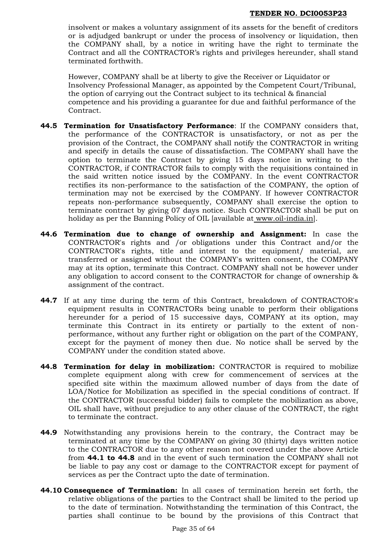insolvent or makes a voluntary assignment of its assets for the benefit of creditors or is adjudged bankrupt or under the process of insolvency or liquidation, then the COMPANY shall, by a notice in writing have the right to terminate the Contract and all the CONTRACTOR's rights and privileges hereunder, shall stand terminated forthwith.

However, COMPANY shall be at liberty to give the Receiver or Liquidator or Insolvency Professional Manager, as appointed by the Competent Court/Tribunal, the option of carrying out the Contract subject to its technical & financial competence and his providing a guarantee for due and faithful performance of the Contract.

- **44.5 Termination for Unsatisfactory Performance**: If the COMPANY considers that, the performance of the CONTRACTOR is unsatisfactory, or not as per the provision of the Contract, the COMPANY shall notify the CONTRACTOR in writing and specify in details the cause of dissatisfaction. The COMPANY shall have the option to terminate the Contract by giving 15 days notice in writing to the CONTRACTOR, if CONTRACTOR fails to comply with the requisitions contained in the said written notice issued by the COMPANY. In the event CONTRACTOR rectifies its non-performance to the satisfaction of the COMPANY, the option of termination may not be exercised by the COMPANY. If however CONTRACTOR repeats non-performance subsequently, COMPANY shall exercise the option to terminate contract by giving 07 days notice. Such CONTRACTOR shall be put on holiday as per the Banning Policy of OIL [available at [www.oil-india.in\]](http://www.oil-india.in/).
- **44.6 Termination due to change of ownership and Assignment:** In case the CONTRACTOR's rights and /or obligations under this Contract and/or the CONTRACTOR's rights, title and interest to the equipment/ material, are transferred or assigned without the COMPANY's written consent, the COMPANY may at its option, terminate this Contract. COMPANY shall not be however under any obligation to accord consent to the CONTRACTOR for change of ownership & assignment of the contract.
- **44.7** If at any time during the term of this Contract, breakdown of CONTRACTOR's equipment results in CONTRACTORs being unable to perform their obligations hereunder for a period of 15 successive days, COMPANY at its option, may terminate this Contract in its entirety or partially to the extent of nonperformance, without any further right or obligation on the part of the COMPANY, except for the payment of money then due. No notice shall be served by the COMPANY under the condition stated above.
- **44.8 Termination for delay in mobilization:** CONTRACTOR is required to mobilize complete equipment along with crew for commencement of services at the specified site within the maximum allowed number of days from the date of LOA/Notice for Mobilization as specified in the special conditions of contract. If the CONTRACTOR (successful bidder) fails to complete the mobilization as above, OIL shall have, without prejudice to any other clause of the CONTRACT, the right to terminate the contract.
- **44.9** Notwithstanding any provisions herein to the contrary, the Contract may be terminated at any time by the COMPANY on giving 30 (thirty) days written notice to the CONTRACTOR due to any other reason not covered under the above Article from **44.1 to 44.8** and in the event of such termination the COMPANY shall not be liable to pay any cost or damage to the CONTRACTOR except for payment of services as per the Contract upto the date of termination.
- **44.10 Consequence of Termination:** In all cases of termination herein set forth, the relative obligations of the parties to the Contract shall be limited to the period up to the date of termination. Notwithstanding the termination of this Contract, the parties shall continue to be bound by the provisions of this Contract that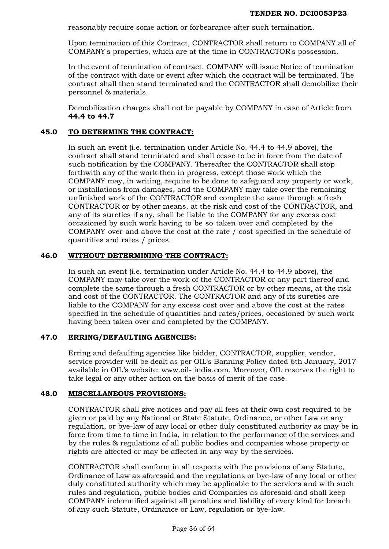reasonably require some action or forbearance after such termination.

Upon termination of this Contract, CONTRACTOR shall return to COMPANY all of COMPANY's properties, which are at the time in CONTRACTOR's possession.

In the event of termination of contract, COMPANY will issue Notice of termination of the contract with date or event after which the contract will be terminated. The contract shall then stand terminated and the CONTRACTOR shall demobilize their personnel & materials.

Demobilization charges shall not be payable by COMPANY in case of Article from **44.4 to 44.7**

## **45.0 TO DETERMINE THE CONTRACT:**

In such an event (i.e. termination under Article No. 44.4 to 44.9 above), the contract shall stand terminated and shall cease to be in force from the date of such notification by the COMPANY. Thereafter the CONTRACTOR shall stop forthwith any of the work then in progress, except those work which the COMPANY may, in writing, require to be done to safeguard any property or work, or installations from damages, and the COMPANY may take over the remaining unfinished work of the CONTRACTOR and complete the same through a fresh CONTRACTOR or by other means, at the risk and cost of the CONTRACTOR, and any of its sureties if any, shall be liable to the COMPANY for any excess cost occasioned by such work having to be so taken over and completed by the COMPANY over and above the cost at the rate / cost specified in the schedule of quantities and rates / prices.

## **46.0 WITHOUT DETERMINING THE CONTRACT:**

In such an event (i.e. termination under Article No. 44.4 to 44.9 above), the COMPANY may take over the work of the CONTRACTOR or any part thereof and complete the same through a fresh CONTRACTOR or by other means, at the risk and cost of the CONTRACTOR. The CONTRACTOR and any of its sureties are liable to the COMPANY for any excess cost over and above the cost at the rates specified in the schedule of quantities and rates/prices, occasioned by such work having been taken over and completed by the COMPANY.

## **47.0 ERRING/DEFAULTING AGENCIES:**

Erring and defaulting agencies like bidder, CONTRACTOR, supplier, vendor, service provider will be dealt as per OIL's Banning Policy dated 6th January, 2017 available in OIL's website: www.oil- india.com. Moreover, OIL reserves the right to take legal or any other action on the basis of merit of the case.

# **48.0 MISCELLANEOUS PROVISIONS:**

CONTRACTOR shall give notices and pay all fees at their own cost required to be given or paid by any National or State Statute, Ordinance, or other Law or any regulation, or bye-law of any local or other duly constituted authority as may be in force from time to time in India, in relation to the performance of the services and by the rules & regulations of all public bodies and companies whose property or rights are affected or may be affected in any way by the services.

CONTRACTOR shall conform in all respects with the provisions of any Statute, Ordinance of Law as aforesaid and the regulations or bye-law of any local or other duly constituted authority which may be applicable to the services and with such rules and regulation, public bodies and Companies as aforesaid and shall keep COMPANY indemnified against all penalties and liability of every kind for breach of any such Statute, Ordinance or Law, regulation or bye-law.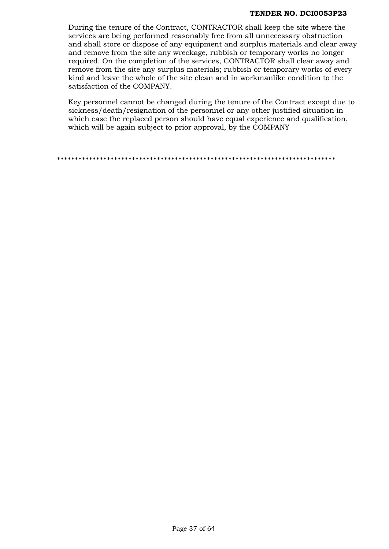During the tenure of the Contract, CONTRACTOR shall keep the site where the services are being performed reasonably free from all unnecessary obstruction and shall store or dispose of any equipment and surplus materials and clear away and remove from the site any wreckage, rubbish or temporary works no longer required. On the completion of the services, CONTRACTOR shall clear away and remove from the site any surplus materials; rubbish or temporary works of every kind and leave the whole of the site clean and in workmanlike condition to the satisfaction of the COMPANY.

Key personnel cannot be changed during the tenure of the Contract except due to sickness/death/resignation of the personnel or any other justified situation in which case the replaced person should have equal experience and qualification, which will be again subject to prior approval, by the COMPANY

\*\*\*\*\*\*\*\*\*\*\*\*\*\*\*\*\*\*\*\*\*\*\*\*\*\*\*\*\*\*\*\*\*\*\*\*\*\*\*\*\*\*\*\*\*\*\*\*\*\*\*\*\*\*\*\*\*\*\*\*\*\*\*\*\*\*\*\*\*\*\*\*\*\*\*\*\*\*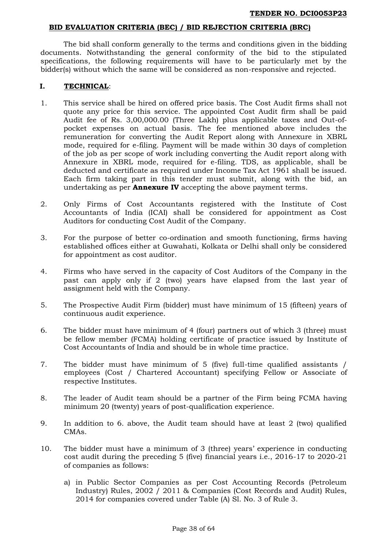#### **BID EVALUATION CRITERIA (BEC) / BID REJECTION CRITERIA (BRC)**

The bid shall conform generally to the terms and conditions given in the bidding documents. Notwithstanding the general conformity of the bid to the stipulated specifications, the following requirements will have to be particularly met by the bidder(s) without which the same will be considered as non-responsive and rejected.

#### **I. TECHNICAL**:

- 1. This service shall be hired on offered price basis. The Cost Audit firms shall not quote any price for this service. The appointed Cost Audit firm shall be paid Audit fee of Rs. 3,00,000.00 (Three Lakh) plus applicable taxes and Out-ofpocket expenses on actual basis. The fee mentioned above includes the remuneration for converting the Audit Report along with Annexure in XBRL mode, required for e-filing. Payment will be made within 30 days of completion of the job as per scope of work including converting the Audit report along with Annexure in XBRL mode, required for e-filing. TDS, as applicable, shall be deducted and certificate as required under Income Tax Act 1961 shall be issued. Each firm taking part in this tender must submit, along with the bid, an undertaking as per **Annexure IV** accepting the above payment terms.
- 2. Only Firms of Cost Accountants registered with the Institute of Cost Accountants of India (ICAI) shall be considered for appointment as Cost Auditors for conducting Cost Audit of the Company.
- 3. For the purpose of better co-ordination and smooth functioning, firms having established offices either at Guwahati, Kolkata or Delhi shall only be considered for appointment as cost auditor.
- 4. Firms who have served in the capacity of Cost Auditors of the Company in the past can apply only if 2 (two) years have elapsed from the last year of assignment held with the Company.
- 5. The Prospective Audit Firm (bidder) must have minimum of 15 (fifteen) years of continuous audit experience.
- 6. The bidder must have minimum of 4 (four) partners out of which 3 (three) must be fellow member (FCMA) holding certificate of practice issued by Institute of Cost Accountants of India and should be in whole time practice.
- 7. The bidder must have minimum of 5 (five) full-time qualified assistants / employees (Cost / Chartered Accountant) specifying Fellow or Associate of respective Institutes.
- 8. The leader of Audit team should be a partner of the Firm being FCMA having minimum 20 (twenty) years of post-qualification experience.
- 9. In addition to 6. above, the Audit team should have at least 2 (two) qualified CMAs.
- 10. The bidder must have a minimum of 3 (three) years' experience in conducting cost audit during the preceding 5 (five) financial years i.e., 2016-17 to 2020-21 of companies as follows:
	- a) in Public Sector Companies as per Cost Accounting Records (Petroleum Industry) Rules, 2002 / 2011 & Companies (Cost Records and Audit) Rules, 2014 for companies covered under Table (A) Sl. No. 3 of Rule 3.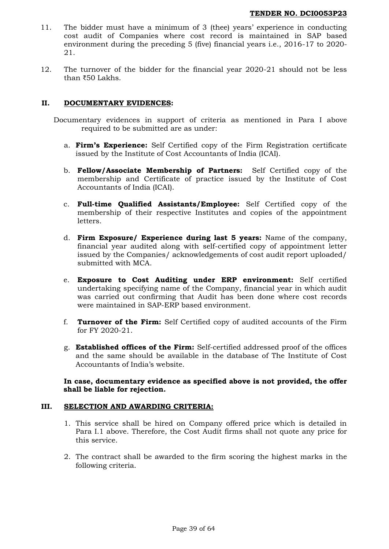- 11. The bidder must have a minimum of 3 (thee) years' experience in conducting cost audit of Companies where cost record is maintained in SAP based environment during the preceding 5 (five) financial years i.e., 2016-17 to 2020- 21.
- 12. The turnover of the bidder for the financial year 2020-21 should not be less than ₹50 Lakhs.

## **II. DOCUMENTARY EVIDENCES:**

- Documentary evidences in support of criteria as mentioned in Para I above required to be submitted are as under:
	- a. **Firm's Experience:** Self Certified copy of the Firm Registration certificate issued by the Institute of Cost Accountants of India (ICAI).
	- b. **Fellow/Associate Membership of Partners:** Self Certified copy of the membership and Certificate of practice issued by the Institute of Cost Accountants of India (ICAI).
	- c. **Full-time Qualified Assistants/Employee:** Self Certified copy of the membership of their respective Institutes and copies of the appointment letters.
	- d. **Firm Exposure/ Experience during last 5 years:** Name of the company, financial year audited along with self-certified copy of appointment letter issued by the Companies/ acknowledgements of cost audit report uploaded/ submitted with MCA.
	- e. **Exposure to Cost Auditing under ERP environment:** Self certified undertaking specifying name of the Company, financial year in which audit was carried out confirming that Audit has been done where cost records were maintained in SAP-ERP based environment.
	- f. **Turnover of the Firm:** Self Certified copy of audited accounts of the Firm for FY 2020-21.
	- g. **Established offices of the Firm:** Self-certified addressed proof of the offices and the same should be available in the database of The Institute of Cost Accountants of India's website.

## **In case, documentary evidence as specified above is not provided, the offer shall be liable for rejection.**

#### **III. SELECTION AND AWARDING CRITERIA:**

- 1. This service shall be hired on Company offered price which is detailed in Para I.1 above. Therefore, the Cost Audit firms shall not quote any price for this service.
- 2. The contract shall be awarded to the firm scoring the highest marks in the following criteria.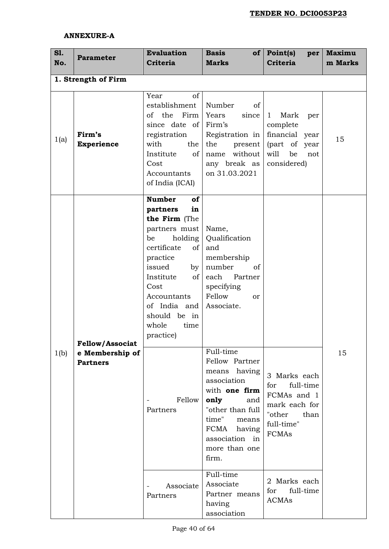## **ANNEXURE-A**

| S1.<br>No. | <b>Parameter</b>                                             | <b>Evaluation</b><br><b>Criteria</b>                                                                                                                                                                                                              | <b>Basis</b><br><b>Marks</b>                                                                                                                                                                   | of   Point(s) <br>per<br><b>Criteria</b>                                                                          | <b>Maximu</b><br>m Marks |
|------------|--------------------------------------------------------------|---------------------------------------------------------------------------------------------------------------------------------------------------------------------------------------------------------------------------------------------------|------------------------------------------------------------------------------------------------------------------------------------------------------------------------------------------------|-------------------------------------------------------------------------------------------------------------------|--------------------------|
|            | 1. Strength of Firm                                          |                                                                                                                                                                                                                                                   |                                                                                                                                                                                                |                                                                                                                   |                          |
| 1(a)       | Firm's<br><b>Experience</b>                                  | Year<br>of<br>establishment<br>of the Firm<br>since date of<br>registration<br>with<br>the<br>Institute<br>of<br>Cost<br>Accountants<br>of India (ICAI)                                                                                           | Number<br>of<br>Years<br>since<br>Firm's<br>Registration in<br>the<br>present<br>without<br>name<br>any break as<br>on 31.03.2021                                                              | Mark<br>$\mathbf{1}$<br>per<br>complete<br>financial year<br>(part of<br>year<br>will<br>be<br>not<br>considered) | 15                       |
|            |                                                              | <b>Number</b><br>of<br>in<br>partners<br>the Firm (The<br>partners must<br>holding<br>be<br>certificate<br>of<br>practice<br>issued<br>by<br>Institute<br>of<br>Cost<br>Accountants<br>of India and<br>should be in<br>whole<br>time<br>practice) | Name,<br>Qualification<br>and<br>membership<br>number<br>of<br>each Partner<br>specifying<br>Fellow<br><sub>or</sub><br>Associate.                                                             |                                                                                                                   |                          |
| 1(b)       | <b>Fellow/Associat</b><br>e Membership of<br><b>Partners</b> | Fellow<br>Partners                                                                                                                                                                                                                                | Full-time<br>Fellow Partner<br>means having<br>association<br>with one firm<br>only<br>and<br>"other than full<br>time"<br>means<br>FCMA<br>having<br>association in<br>more than one<br>firm. | 3 Marks each<br>for<br>full-time<br>FCMAs and 1<br>mark each for<br>"other<br>than<br>full-time"<br><b>FCMAs</b>  | 15                       |
|            |                                                              | Associate<br>Partners                                                                                                                                                                                                                             | Full-time<br>Associate<br>Partner means<br>having<br>association                                                                                                                               | 2 Marks each<br>full-time<br>for<br><b>ACMAs</b>                                                                  |                          |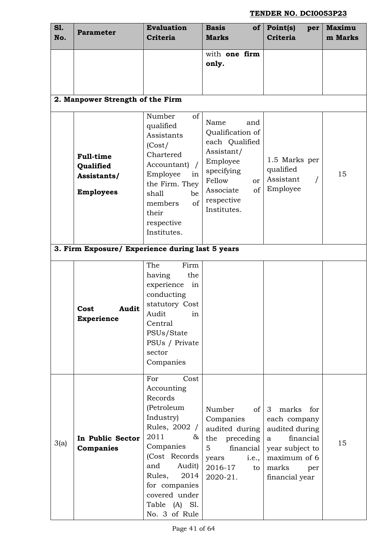| <b>S1.</b><br>No. | <b>Parameter</b>                                                 | <b>Evaluation</b><br><b>Criteria</b>                                                                                                                                                                                                | <b>Basis</b><br>of<br><b>Marks</b>                                                                                                                                   | Point(s)<br>per<br><b>Criteria</b>                                                                                                                    | <b>Maximu</b><br>m Marks |  |
|-------------------|------------------------------------------------------------------|-------------------------------------------------------------------------------------------------------------------------------------------------------------------------------------------------------------------------------------|----------------------------------------------------------------------------------------------------------------------------------------------------------------------|-------------------------------------------------------------------------------------------------------------------------------------------------------|--------------------------|--|
|                   |                                                                  |                                                                                                                                                                                                                                     | with one firm<br>only.                                                                                                                                               |                                                                                                                                                       |                          |  |
|                   | 2. Manpower Strength of the Firm                                 |                                                                                                                                                                                                                                     |                                                                                                                                                                      |                                                                                                                                                       |                          |  |
|                   | <b>Full-time</b><br>Qualified<br>Assistants/<br><b>Employees</b> | Number<br>of<br>qualified<br>Assistants<br>(Cost/<br>Chartered<br>Accountant)<br>Employee<br>in<br>the Firm. They<br>shall<br>be<br>of<br>members<br>their<br>respective<br>Institutes.                                             | Name<br>and<br>Qualification of<br>each Qualified<br>Assistant/<br>Employee<br>specifying<br>Fellow<br>or<br><sub>of</sub><br>Associate<br>respective<br>Institutes. | 1.5 Marks per<br>qualified<br>Assistant<br>Employee                                                                                                   | 15                       |  |
|                   | 3. Firm Exposure/ Experience during last 5 years                 |                                                                                                                                                                                                                                     |                                                                                                                                                                      |                                                                                                                                                       |                          |  |
|                   | Audit<br>Cost<br><b>Experience</b>                               | The<br>Firm<br>having<br>the<br>experience<br>in<br>conducting<br>statutory Cost<br>Audit<br>ın<br>Central<br>PSUs/State<br>PSUs / Private<br>sector<br>Companies                                                                   |                                                                                                                                                                      |                                                                                                                                                       |                          |  |
| 3(a)              | In Public Sector<br>Companies                                    | Cost<br>For<br>Accounting<br>Records<br>(Petroleum<br>Industry)<br>Rules, 2002 /<br>2011<br>&<br>Companies<br>(Cost Records)<br>and<br>Audit)<br>2014<br>Rules,<br>for companies<br>covered under<br>Table (A) Sl.<br>No. 3 of Rule | Number<br>of<br>Companies<br>audited during<br>the<br>preceding<br>financial<br>5<br><i>i.e.,</i><br>years<br>2016-17<br>to<br>2020-21.                              | $\mathbf{3}$<br>marks<br>for<br>each company<br>audited during<br>financial<br>a<br>year subject to<br>maximum of 6<br>marks<br>per<br>financial year | 15                       |  |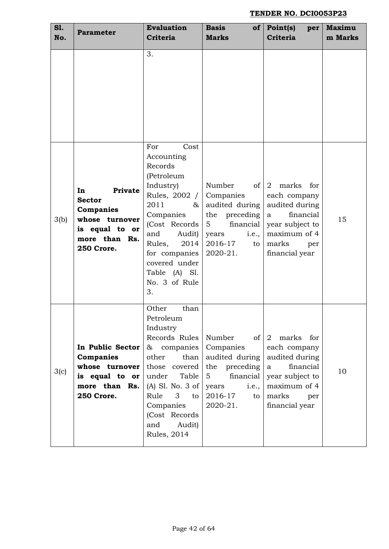| <b>S1.</b><br>No. | <b>Parameter</b>                                                                                               | <b>Evaluation</b><br><b>Criteria</b>                                                                                                                                                                                                         | <b>Basis</b><br><b>Marks</b>                                                                                                                   | of $\vert$ Point(s)<br>per<br><b>Criteria</b>                                                                                           | <b>Maximu</b><br>m Marks |
|-------------------|----------------------------------------------------------------------------------------------------------------|----------------------------------------------------------------------------------------------------------------------------------------------------------------------------------------------------------------------------------------------|------------------------------------------------------------------------------------------------------------------------------------------------|-----------------------------------------------------------------------------------------------------------------------------------------|--------------------------|
|                   |                                                                                                                | 3.                                                                                                                                                                                                                                           |                                                                                                                                                |                                                                                                                                         |                          |
| 3(b)              | In<br>Private<br><b>Sector</b><br>Companies<br>whose turnover<br>is equal to or<br>more than Rs.<br>250 Crore. | Cost<br>For<br>Accounting<br>Records<br>(Petroleum<br>Industry)<br>Rules, 2002 /<br>2011<br>$\&$<br>Companies<br>(Cost Records)<br>and<br>Audit)<br>2014<br>Rules,<br>for companies<br>covered under<br>Table (A) Sl.<br>No. 3 of Rule<br>3. | Number<br>of<br>Companies<br>audited during<br>the preceding<br>financial<br>$5^{\circ}$<br>years<br><i>i.e.,</i><br>2016-17<br>to<br>2020-21. | 2 marks for<br>each company<br>audited during<br>financial<br>a<br>year subject to<br>maximum of 4<br>marks<br>per<br>financial year    | 15                       |
| 3(c)              | In Public Sector<br>Companies<br>whose turnover<br>is equal to or<br>more than Rs.<br>250 Crore.               | Other<br>than<br>Petroleum<br>Industry<br>Records Rules<br>& companies<br>other<br>than<br>those covered<br>under<br>Table<br>$(A)$ Sl. No. 3 of<br>Rule<br>3<br>to<br>Companies<br>(Cost Records<br>Audit)<br>and<br><b>Rules</b> , 2014    | Number<br>of I<br>Companies<br>audited during<br>the preceding<br>financial<br>5<br>years<br><i>i.e.,</i><br>2016-17<br>to<br>2020-21.         | 2<br>marks for<br>each company<br>audited during<br>financial<br>a<br>year subject to<br>maximum of 4<br>marks<br>per<br>financial year | 10                       |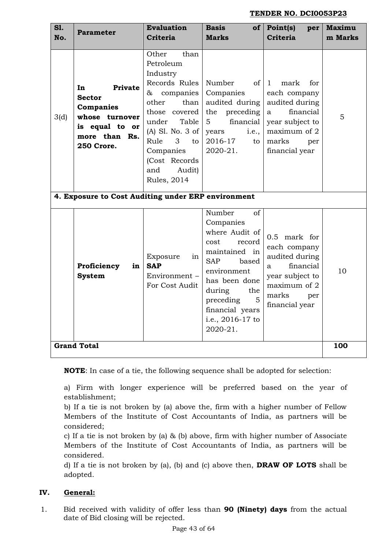| <b>S1.</b><br>No.                                                                                                                                                                                                                                                                                                                                                    | <b>Parameter</b>                                   | <b>Evaluation</b><br><b>Criteria</b>                            | <b>Basis</b><br>$of \sqrt{ }Marks$                                                                                                                                                                                                     | Point(s)<br>per<br><b>Criteria</b>                                                                                                                    | <b>Maximu</b><br>m Marks |
|----------------------------------------------------------------------------------------------------------------------------------------------------------------------------------------------------------------------------------------------------------------------------------------------------------------------------------------------------------------------|----------------------------------------------------|-----------------------------------------------------------------|----------------------------------------------------------------------------------------------------------------------------------------------------------------------------------------------------------------------------------------|-------------------------------------------------------------------------------------------------------------------------------------------------------|--------------------------|
| Other<br>than<br>Petroleum<br>Industry<br>Records Rules<br>Private<br>In<br>&<br>companies<br><b>Sector</b><br>other<br>than<br>Companies<br>those covered<br>whose turnover<br>3(d)<br>Table<br>under<br>is equal to or<br>(A) Sl. No. 3 of<br>more than Rs.<br>Rule<br>3<br>to<br>250 Crore.<br>Companies<br>(Cost Records<br>and<br>Audit)<br><b>Rules</b> , 2014 |                                                    |                                                                 | Number<br>of<br>Companies<br>audited during<br>the<br>preceding<br>financial<br>5<br>years<br><i>i.e.,</i><br>2016-17<br>to<br>2020-21.                                                                                                | mark<br>for.<br>$\mathbf{1}$<br>each company<br>audited during<br>financial<br>a<br>year subject to<br>maximum of 2<br>marks<br>per<br>financial year | 5                        |
|                                                                                                                                                                                                                                                                                                                                                                      | 4. Exposure to Cost Auditing under ERP environment |                                                                 |                                                                                                                                                                                                                                        |                                                                                                                                                       |                          |
|                                                                                                                                                                                                                                                                                                                                                                      | Proficiency<br>in<br><b>System</b>                 | Exposure<br>in<br><b>SAP</b><br>Environment -<br>For Cost Audit | Number<br><sub>of</sub><br>Companies<br>where Audit of<br>cost<br>record<br>maintained in<br><b>SAP</b><br>based<br>environment<br>has been done<br>during<br>the<br>5<br>preceding<br>financial years<br>i.e., 2016-17 to<br>2020-21. | 0.5 mark for<br>each company<br>audited during<br>financial<br>a<br>year subject to<br>maximum of 2<br>marks<br>per<br>financial year                 | 10                       |
|                                                                                                                                                                                                                                                                                                                                                                      | <b>Grand Total</b>                                 |                                                                 |                                                                                                                                                                                                                                        |                                                                                                                                                       | 100                      |

**NOTE**: In case of a tie, the following sequence shall be adopted for selection:

a) Firm with longer experience will be preferred based on the year of establishment;

b) If a tie is not broken by (a) above the, firm with a higher number of Fellow Members of the Institute of Cost Accountants of India, as partners will be considered;

c) If a tie is not broken by (a) & (b) above, firm with higher number of Associate Members of the Institute of Cost Accountants of India, as partners will be considered.

d) If a tie is not broken by (a), (b) and (c) above then, **DRAW OF LOTS** shall be adopted.

## **IV. General:**

1. Bid received with validity of offer less than **90 (Ninety) days** from the actual date of Bid closing will be rejected.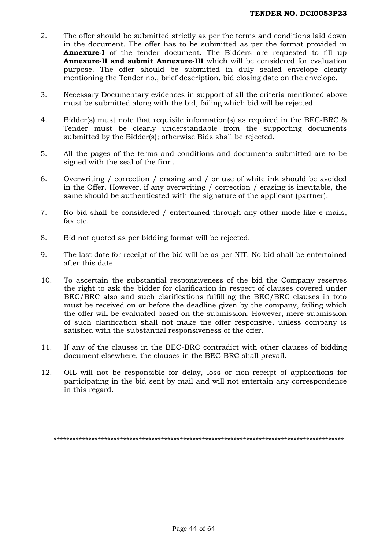- 2. The offer should be submitted strictly as per the terms and conditions laid down in the document. The offer has to be submitted as per the format provided in **Annexure-I** of the tender document. The Bidders are requested to fill up **Annexure-II and submit Annexure-III** which will be considered for evaluation purpose. The offer should be submitted in duly sealed envelope clearly mentioning the Tender no., brief description, bid closing date on the envelope.
- 3. Necessary Documentary evidences in support of all the criteria mentioned above must be submitted along with the bid, failing which bid will be rejected.
- 4. Bidder(s) must note that requisite information(s) as required in the BEC-BRC & Tender must be clearly understandable from the supporting documents submitted by the Bidder(s); otherwise Bids shall be rejected.
- 5. All the pages of the terms and conditions and documents submitted are to be signed with the seal of the firm.
- 6. Overwriting / correction / erasing and / or use of white ink should be avoided in the Offer. However, if any overwriting / correction / erasing is inevitable, the same should be authenticated with the signature of the applicant (partner).
- 7. No bid shall be considered / entertained through any other mode like e-mails, fax etc.
- 8. Bid not quoted as per bidding format will be rejected.
- 9. The last date for receipt of the bid will be as per NIT. No bid shall be entertained after this date.
- 10. To ascertain the substantial responsiveness of the bid the Company reserves the right to ask the bidder for clarification in respect of clauses covered under BEC/BRC also and such clarifications fulfilling the BEC/BRC clauses in toto must be received on or before the deadline given by the company, failing which the offer will be evaluated based on the submission. However, mere submission of such clarification shall not make the offer responsive, unless company is satisfied with the substantial responsiveness of the offer.
- 11. If any of the clauses in the BEC-BRC contradict with other clauses of bidding document elsewhere, the clauses in the BEC-BRC shall prevail.
- 12. OIL will not be responsible for delay, loss or non-receipt of applications for participating in the bid sent by mail and will not entertain any correspondence in this regard.

\*\*\*\*\*\*\*\*\*\*\*\*\*\*\*\*\*\*\*\*\*\*\*\*\*\*\*\*\*\*\*\*\*\*\*\*\*\*\*\*\*\*\*\*\*\*\*\*\*\*\*\*\*\*\*\*\*\*\*\*\*\*\*\*\*\*\*\*\*\*\*\*\*\*\*\*\*\*\*\*\*\*\*\*\*\*\*\*\*\*\*\*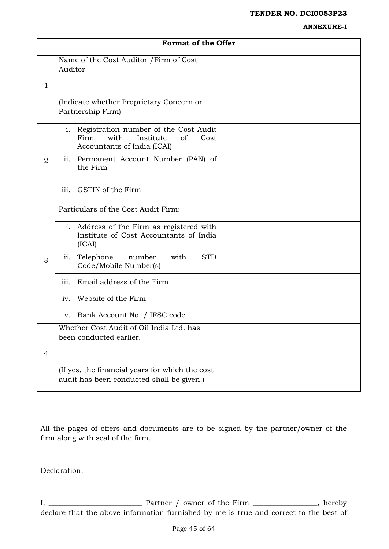#### **ANNEXURE-I**

|                | <b>Format of the Offer</b>                                                                                         |  |  |  |  |
|----------------|--------------------------------------------------------------------------------------------------------------------|--|--|--|--|
| $\mathbf{1}$   | Name of the Cost Auditor / Firm of Cost<br>Auditor                                                                 |  |  |  |  |
|                | (Indicate whether Proprietary Concern or<br>Partnership Firm)                                                      |  |  |  |  |
|                | i. Registration number of the Cost Audit<br>Firm<br>with<br>Institute<br>of<br>Cost<br>Accountants of India (ICAI) |  |  |  |  |
| $\overline{2}$ | ii. Permanent Account Number (PAN) of<br>the Firm                                                                  |  |  |  |  |
|                | GSTIN of the Firm<br>iii.                                                                                          |  |  |  |  |
|                | Particulars of the Cost Audit Firm:                                                                                |  |  |  |  |
|                | i. Address of the Firm as registered with<br>Institute of Cost Accountants of India<br>(ICAI)                      |  |  |  |  |
| 3              | Telephone<br><b>STD</b><br>number<br>with<br>ii.<br>Code/Mobile Number(s)                                          |  |  |  |  |
|                | Email address of the Firm<br>iii.                                                                                  |  |  |  |  |
|                | Website of the Firm<br>iv.                                                                                         |  |  |  |  |
|                | Bank Account No. / IFSC code<br>V.                                                                                 |  |  |  |  |
|                | Whether Cost Audit of Oil India Ltd. has<br>been conducted earlier.                                                |  |  |  |  |
| $\overline{4}$ |                                                                                                                    |  |  |  |  |
|                | (If yes, the financial years for which the cost<br>audit has been conducted shall be given.)                       |  |  |  |  |

All the pages of offers and documents are to be signed by the partner/owner of the firm along with seal of the firm.

Declaration:

I, \_\_\_\_\_\_\_\_\_\_\_\_\_\_\_\_\_\_\_\_\_\_\_\_\_\_ Partner / owner of the Firm \_\_\_\_\_\_\_\_\_\_\_\_\_\_\_\_\_\_, hereby declare that the above information furnished by me is true and correct to the best of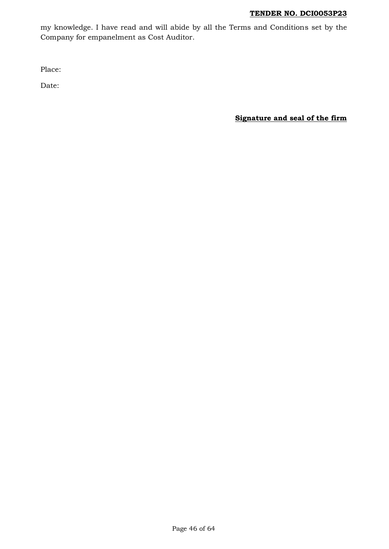my knowledge. I have read and will abide by all the Terms and Conditions set by the Company for empanelment as Cost Auditor.

Place:

Date:

**Signature and seal of the firm**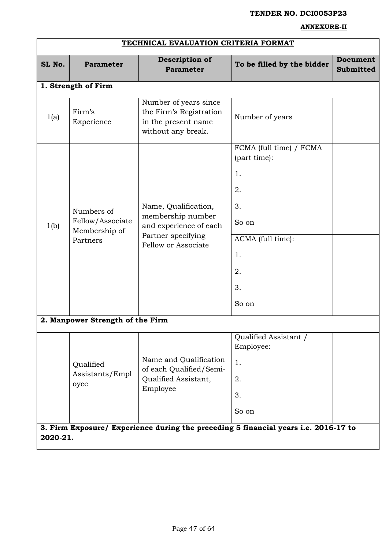#### **ANNEXURE-II**

| TECHNICAL EVALUATION CRITERIA FORMAT |                                                             |                                                                                                                  |                                                                                                                                                      |                              |
|--------------------------------------|-------------------------------------------------------------|------------------------------------------------------------------------------------------------------------------|------------------------------------------------------------------------------------------------------------------------------------------------------|------------------------------|
| SL No.                               | <b>Parameter</b>                                            | Description of<br><b>Parameter</b>                                                                               | To be filled by the bidder                                                                                                                           | Document<br><b>Submitted</b> |
|                                      | 1. Strength of Firm                                         |                                                                                                                  |                                                                                                                                                      |                              |
| 1(a)                                 | Firm's<br>Experience                                        | Number of years since<br>the Firm's Registration<br>in the present name<br>without any break.                    | Number of years                                                                                                                                      |                              |
| 1(b)                                 | Numbers of<br>Fellow/Associate<br>Membership of<br>Partners | Name, Qualification,<br>membership number<br>and experience of each<br>Partner specifying<br>Fellow or Associate | FCMA (full time) / FCMA<br>(part time):<br>1.<br>2.<br>3.<br>So on<br>ACMA (full time):<br>1.<br>2.<br>3.<br>So on                                   |                              |
|                                      | 2. Manpower Strength of the Firm                            |                                                                                                                  |                                                                                                                                                      |                              |
|                                      | Qualified<br>Assistants/Empl<br>oyee                        | Name and Qualification<br>of each Qualified/Semi-<br>Qualified Assistant,<br>Employee                            | Qualified Assistant /<br>Employee:<br>1.<br>2.<br>3.<br>So on<br>3. Firm Exposure/ Experience during the preceding 5 financial years i.e. 2016-17 to |                              |
| 2020-21.                             |                                                             |                                                                                                                  |                                                                                                                                                      |                              |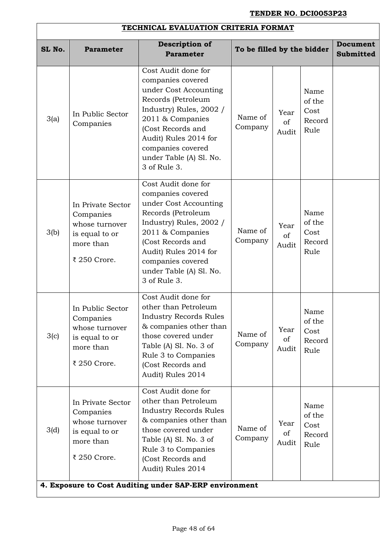# **TECHNICAL EVALUATION CRITERIA FORMAT**

| SL No. | <b>Parameter</b>                                                                                | <b>Description of</b><br><b>Parameter</b>                                                                                                                                                                                                                                          | To be filled by the bidder |                     |                                          | <b>Document</b><br><b>Submitted</b> |
|--------|-------------------------------------------------------------------------------------------------|------------------------------------------------------------------------------------------------------------------------------------------------------------------------------------------------------------------------------------------------------------------------------------|----------------------------|---------------------|------------------------------------------|-------------------------------------|
| 3(a)   | In Public Sector<br>Companies                                                                   | Cost Audit done for<br>companies covered<br>under Cost Accounting<br>Records (Petroleum<br>Industry) Rules, 2002 /<br>2011 & Companies<br>(Cost Records and<br>Audit) Rules 2014 for<br>companies covered<br>under Table (A) Sl. No.<br>3 of Rule 3.                               | Name of<br>Company         | Year<br>of<br>Audit | Name<br>of the<br>Cost<br>Record<br>Rule |                                     |
| 3(b)   | In Private Sector<br>Companies<br>whose turnover<br>is equal to or<br>more than<br>₹ 250 Crore. | Cost Audit done for<br>companies covered<br>under Cost Accounting<br>Records (Petroleum<br>Industry) Rules, 2002 /<br>2011 & Companies<br>(Cost Records and<br>Audit) Rules 2014 for<br>companies covered<br>under Table (A) Sl. No.<br>3 of Rule 3.                               | Name of<br>Company         | Year<br>of<br>Audit | Name<br>of the<br>Cost<br>Record<br>Rule |                                     |
| 3(c)   | In Public Sector<br>Companies<br>whose turnover<br>is equal to or<br>more than<br>₹ 250 Crore.  | Cost Audit done for<br>other than Petroleum<br><b>Industry Records Rules</b><br>& companies other than<br>those covered under<br>Table (A) Sl. No. 3 of<br>Rule 3 to Companies<br>(Cost Records and<br>Audit) Rules 2014                                                           | Name of<br>Company         | Year<br>of<br>Audit | Name<br>of the<br>Cost<br>Record<br>Rule |                                     |
| 3(d)   | In Private Sector<br>Companies<br>whose turnover<br>is equal to or<br>more than<br>₹ 250 Crore. | Cost Audit done for<br>other than Petroleum<br><b>Industry Records Rules</b><br>& companies other than<br>those covered under<br>Table (A) Sl. No. 3 of<br>Rule 3 to Companies<br>(Cost Records and<br>Audit) Rules 2014<br>4. Exposure to Cost Auditing under SAP-ERP environment | Name of<br>Company         | Year<br>of<br>Audit | Name<br>of the<br>Cost<br>Record<br>Rule |                                     |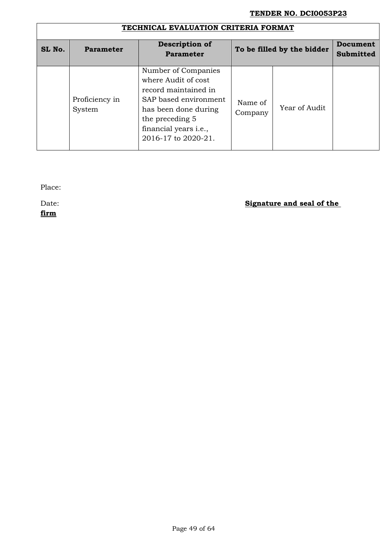|        | TECHNICAL EVALUATION CRITERIA FORMAT |                                                                                                                                                                                                |                    |                            |                              |  |
|--------|--------------------------------------|------------------------------------------------------------------------------------------------------------------------------------------------------------------------------------------------|--------------------|----------------------------|------------------------------|--|
| SL No. | <b>Parameter</b>                     | Description of<br><b>Parameter</b>                                                                                                                                                             |                    | To be filled by the bidder | Document<br><b>Submitted</b> |  |
|        | Proficiency in<br>System             | Number of Companies<br>where Audit of cost<br>record maintained in<br>SAP based environment<br>has been done during<br>the preceding 5<br>financial years <i>i.e.</i> ,<br>2016-17 to 2020-21. | Name of<br>Company | Year of Audit              |                              |  |

Place:

**firm**

# Date: **Signature and seal of the**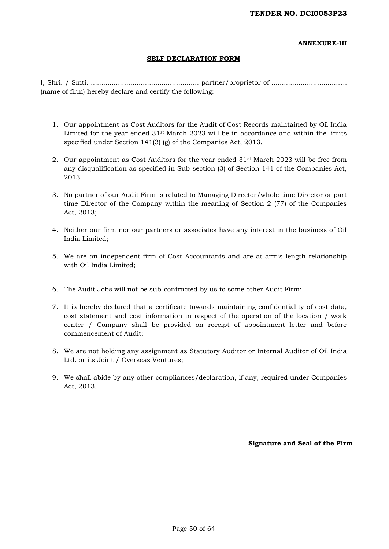#### **ANNEXURE-III**

#### **SELF DECLARATION FORM**

I, Shri. / Smti. .................................................... partner/proprietor of .................................... (name of firm) hereby declare and certify the following:

- 1. Our appointment as Cost Auditors for the Audit of Cost Records maintained by Oil India Limited for the year ended  $31<sup>st</sup>$  March 2023 will be in accordance and within the limits specified under Section 141(3) (g) of the Companies Act, 2013.
- 2. Our appointment as Cost Auditors for the year ended 31st March 2023 will be free from any disqualification as specified in Sub-section (3) of Section 141 of the Companies Act, 2013.
- 3. No partner of our Audit Firm is related to Managing Director/whole time Director or part time Director of the Company within the meaning of Section 2 (77) of the Companies Act, 2013;
- 4. Neither our firm nor our partners or associates have any interest in the business of Oil India Limited;
- 5. We are an independent firm of Cost Accountants and are at arm's length relationship with Oil India Limited;
- 6. The Audit Jobs will not be sub-contracted by us to some other Audit Firm;
- 7. It is hereby declared that a certificate towards maintaining confidentiality of cost data, cost statement and cost information in respect of the operation of the location / work center / Company shall be provided on receipt of appointment letter and before commencement of Audit;
- 8. We are not holding any assignment as Statutory Auditor or Internal Auditor of Oil India Ltd. or its Joint / Overseas Ventures;
- 9. We shall abide by any other compliances/declaration, if any, required under Companies Act, 2013.

**Signature and Seal of the Firm**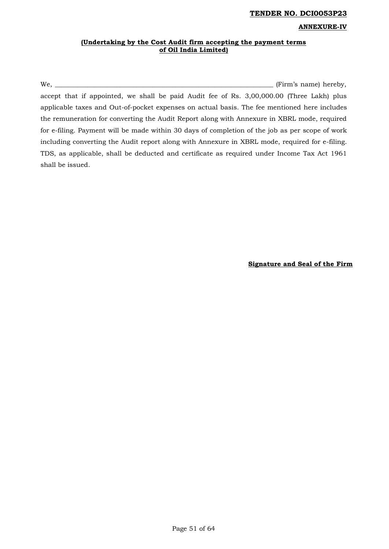#### **ANNEXURE-IV**

#### **(Undertaking by the Cost Audit firm accepting the payment terms of Oil India Limited)**

We, \_\_\_\_\_\_\_\_\_\_\_\_\_\_\_\_\_\_\_\_\_\_\_\_\_\_\_\_\_\_\_\_\_\_\_\_\_\_\_\_\_\_\_\_\_\_\_\_\_\_\_\_\_\_\_\_\_\_\_\_\_\_\_\_\_\_\_ (Firm's name) hereby, accept that if appointed, we shall be paid Audit fee of Rs. 3,00,000.00 (Three Lakh) plus applicable taxes and Out-of-pocket expenses on actual basis. The fee mentioned here includes the remuneration for converting the Audit Report along with Annexure in XBRL mode, required for e-filing. Payment will be made within 30 days of completion of the job as per scope of work including converting the Audit report along with Annexure in XBRL mode, required for e-filing. TDS, as applicable, shall be deducted and certificate as required under Income Tax Act 1961 shall be issued.

**Signature and Seal of the Firm**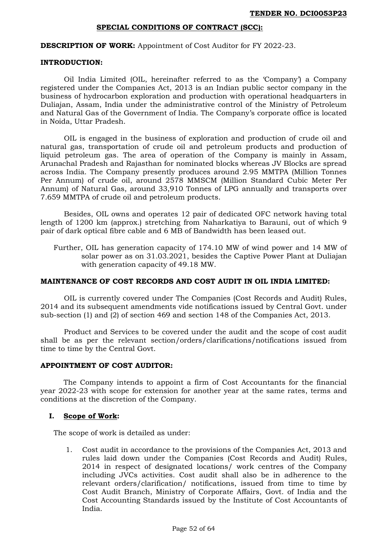#### **SPECIAL CONDITIONS OF CONTRACT (SCC):**

**DESCRIPTION OF WORK:** Appointment of Cost Auditor for FY 2022-23.

#### **INTRODUCTION:**

Oil India Limited (OIL, hereinafter referred to as the 'Company') a Company registered under the Companies Act, 2013 is an Indian public sector company in the business of hydrocarbon exploration and production with operational headquarters in Duliajan, Assam, India under the administrative control of the Ministry of Petroleum and Natural Gas of the Government of India. The Company's corporate office is located in Noida, Uttar Pradesh.

OIL is engaged in the business of exploration and production of crude oil and natural gas, transportation of crude oil and petroleum products and production of liquid petroleum gas. The area of operation of the Company is mainly in Assam, Arunachal Pradesh and Rajasthan for nominated blocks whereas JV Blocks are spread across India. The Company presently produces around 2.95 MMTPA (Million Tonnes Per Annum) of crude oil, around 2578 MMSCM (Million Standard Cubic Meter Per Annum) of Natural Gas, around 33,910 Tonnes of LPG annually and transports over 7.659 MMTPA of crude oil and petroleum products.

Besides, OIL owns and operates 12 pair of dedicated OFC network having total length of 1200 km (approx.) stretching from Naharkatiya to Barauni, out of which 9 pair of dark optical fibre cable and 6 MB of Bandwidth has been leased out.

Further, OIL has generation capacity of 174.10 MW of wind power and 14 MW of solar power as on 31.03.2021, besides the Captive Power Plant at Duliajan with generation capacity of 49.18 MW.

#### **MAINTENANCE OF COST RECORDS AND COST AUDIT IN OIL INDIA LIMITED:**

OIL is currently covered under The Companies (Cost Records and Audit) Rules, 2014 and its subsequent amendments vide notifications issued by Central Govt. under sub-section (1) and (2) of section 469 and section 148 of the Companies Act, 2013.

Product and Services to be covered under the audit and the scope of cost audit shall be as per the relevant section/orders/clarifications/notifications issued from time to time by the Central Govt.

#### **APPOINTMENT OF COST AUDITOR:**

The Company intends to appoint a firm of Cost Accountants for the financial year 2022-23 with scope for extension for another year at the same rates, terms and conditions at the discretion of the Company.

#### **I. Scope of Work:**

The scope of work is detailed as under:

1. Cost audit in accordance to the provisions of the Companies Act, 2013 and rules laid down under the Companies (Cost Records and Audit) Rules, 2014 in respect of designated locations/ work centres of the Company including JVCs activities. Cost audit shall also be in adherence to the relevant orders/clarification/ notifications, issued from time to time by Cost Audit Branch, Ministry of Corporate Affairs, Govt. of India and the Cost Accounting Standards issued by the Institute of Cost Accountants of India.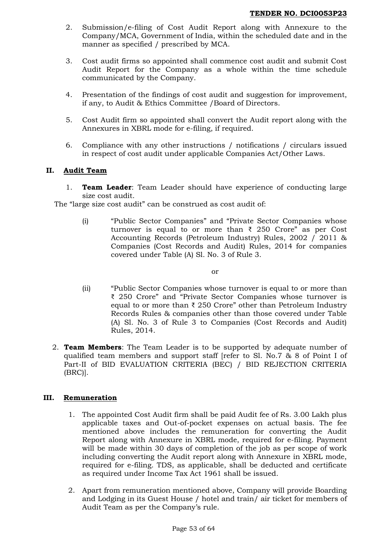- 2. Submission/e-filing of Cost Audit Report along with Annexure to the Company/MCA, Government of India, within the scheduled date and in the manner as specified / prescribed by MCA.
- 3. Cost audit firms so appointed shall commence cost audit and submit Cost Audit Report for the Company as a whole within the time schedule communicated by the Company.
- 4. Presentation of the findings of cost audit and suggestion for improvement, if any, to Audit & Ethics Committee /Board of Directors.
- 5. Cost Audit firm so appointed shall convert the Audit report along with the Annexures in XBRL mode for e-filing, if required.
- 6. Compliance with any other instructions / notifications / circulars issued in respect of cost audit under applicable Companies Act/Other Laws.

# **II. Audit Team**

1. **Team Leader**: Team Leader should have experience of conducting large size cost audit.

The "large size cost audit" can be construed as cost audit of:

(i) "Public Sector Companies" and "Private Sector Companies whose turnover is equal to or more than  $\bar{\tau}$  250 Crore" as per Cost Accounting Records (Petroleum Industry) Rules, 2002 / 2011 & Companies (Cost Records and Audit) Rules, 2014 for companies covered under Table (A) Sl. No. 3 of Rule 3.

or

- (ii) "Public Sector Companies whose turnover is equal to or more than ₹ 250 Crore" and "Private Sector Companies whose turnover is equal to or more than  $\bar{\tau}$  250 Crore" other than Petroleum Industry Records Rules & companies other than those covered under Table (A) Sl. No. 3 of Rule 3 to Companies (Cost Records and Audit) Rules, 2014.
- 2. **Team Members**: The Team Leader is to be supported by adequate number of qualified team members and support staff [refer to Sl. No.7 & 8 of Point I of Part-II of BID EVALUATION CRITERIA (BEC) / BID REJECTION CRITERIA (BRC)].

## **III. Remuneration**

- 1. The appointed Cost Audit firm shall be paid Audit fee of Rs. 3.00 Lakh plus applicable taxes and Out-of-pocket expenses on actual basis. The fee mentioned above includes the remuneration for converting the Audit Report along with Annexure in XBRL mode, required for e-filing. Payment will be made within 30 days of completion of the job as per scope of work including converting the Audit report along with Annexure in XBRL mode, required for e-filing. TDS, as applicable, shall be deducted and certificate as required under Income Tax Act 1961 shall be issued.
- 2. Apart from remuneration mentioned above, Company will provide Boarding and Lodging in its Guest House / hotel and train/ air ticket for members of Audit Team as per the Company's rule.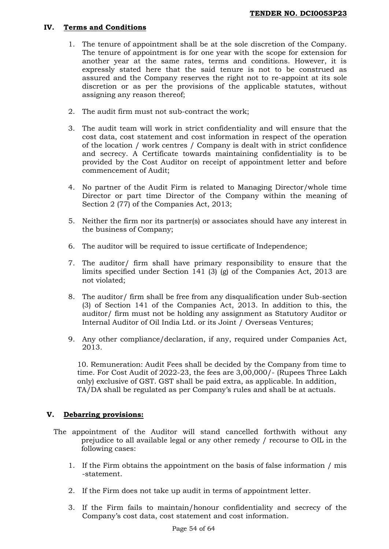## **IV. Terms and Conditions**

- 1. The tenure of appointment shall be at the sole discretion of the Company. The tenure of appointment is for one year with the scope for extension for another year at the same rates, terms and conditions. However, it is expressly stated here that the said tenure is not to be construed as assured and the Company reserves the right not to re-appoint at its sole discretion or as per the provisions of the applicable statutes, without assigning any reason thereof;
- 2. The audit firm must not sub-contract the work;
- 3. The audit team will work in strict confidentiality and will ensure that the cost data, cost statement and cost information in respect of the operation of the location / work centres / Company is dealt with in strict confidence and secrecy. A Certificate towards maintaining confidentiality is to be provided by the Cost Auditor on receipt of appointment letter and before commencement of Audit;
- 4. No partner of the Audit Firm is related to Managing Director/whole time Director or part time Director of the Company within the meaning of Section 2 (77) of the Companies Act, 2013;
- 5. Neither the firm nor its partner(s) or associates should have any interest in the business of Company;
- 6. The auditor will be required to issue certificate of Independence;
- 7. The auditor/ firm shall have primary responsibility to ensure that the limits specified under Section 141 (3) (g) of the Companies Act, 2013 are not violated;
- 8. The auditor/ firm shall be free from any disqualification under Sub-section (3) of Section 141 of the Companies Act, 2013. In addition to this, the auditor/ firm must not be holding any assignment as Statutory Auditor or Internal Auditor of Oil India Ltd. or its Joint / Overseas Ventures;
- 9. Any other compliance/declaration, if any, required under Companies Act, 2013.

10. Remuneration: Audit Fees shall be decided by the Company from time to time. For Cost Audit of 2022-23, the fees are 3,00,000/- (Rupees Three Lakh only) exclusive of GST. GST shall be paid extra, as applicable. In addition, TA/DA shall be regulated as per Company's rules and shall be at actuals.

# **V. Debarring provisions:**

- The appointment of the Auditor will stand cancelled forthwith without any prejudice to all available legal or any other remedy / recourse to OIL in the following cases:
	- 1. If the Firm obtains the appointment on the basis of false information / mis -statement.
	- 2. If the Firm does not take up audit in terms of appointment letter.
	- 3. If the Firm fails to maintain/honour confidentiality and secrecy of the Company's cost data, cost statement and cost information.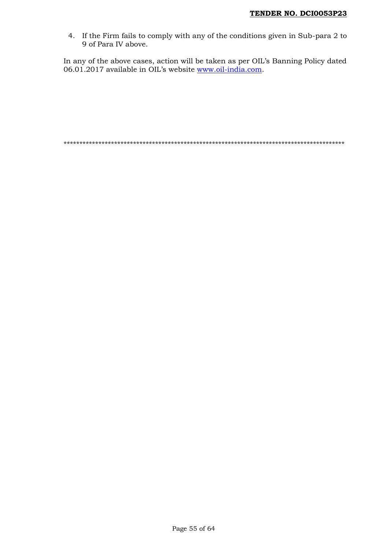4. If the Firm fails to comply with any of the conditions given in Sub-para 2 to 9 of Para IV above.

In any of the above cases, action will be taken as per OIL's Banning Policy dated 06.01.2017 available in OIL's website <u>www.oil-india.com</u>.

\*\*\*\*\*\*\*\*\*\*\*\*\*\*\*\*\*\*\*\*\*\*\*\*\*\*\*\*\*\*\*\*\*\*\*\*\*\*\*\*\*\*\*\*\*\*\*\*\*\*\*\*\*\*\*\*\*\*\*\*\*\*\*\*\*\*\*\*\*\*\*\*\*\*\*\*\*\*\*\*\*\*\*\*\*\*\*\*\*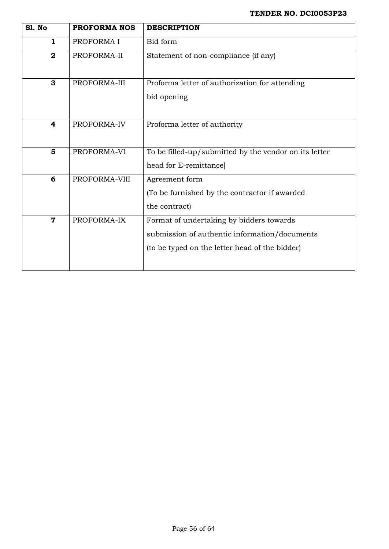| Sl. No                  | <b>PROFORMA NOS</b> | <b>DESCRIPTION</b>                                                                                                                          |
|-------------------------|---------------------|---------------------------------------------------------------------------------------------------------------------------------------------|
| $\mathbf{1}$            | PROFORMA I          | Bid form                                                                                                                                    |
| $\boldsymbol{2}$        | PROFORMA-II         | Statement of non-compliance (if any)                                                                                                        |
| 3                       | PROFORMA-III        | Proforma letter of authorization for attending<br>bid opening                                                                               |
| $\overline{\mathbf{4}}$ | PROFORMA-IV         | Proforma letter of authority                                                                                                                |
| $5\phantom{1}$          | PROFORMA-VI         | To be filled-up/submitted by the vendor on its letter<br>head for E-remittance]                                                             |
| 6                       | PROFORMA-VIII       | Agreement form<br>(To be furnished by the contractor if awarded)<br>the contract)                                                           |
| $\overline{\mathbf{7}}$ | PROFORMA-IX         | Format of undertaking by bidders towards<br>submission of authentic information/documents<br>(to be typed on the letter head of the bidder) |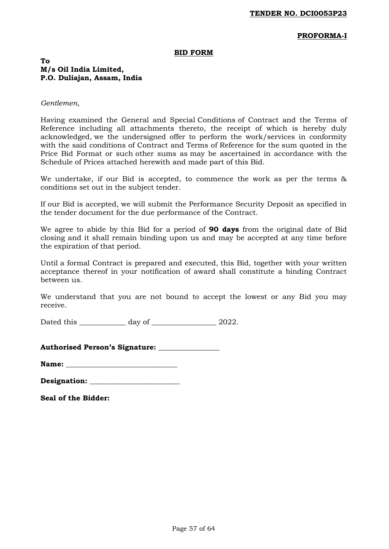### **PROFORMA-I**

#### **BID FORM**

## **To M/s Oil India Limited, P.O. Duliajan, Assam, India**

#### *Gentlemen*,

Having examined the General and Special Conditions of Contract and the Terms of Reference including all attachments thereto, the receipt of which is hereby duly acknowledged, we the undersigned offer to perform the work/services in conformity with the said conditions of Contract and Terms of Reference for the sum quoted in the Price Bid Format or such other sums as may be ascertained in accordance with the Schedule of Prices attached herewith and made part of this Bid.

We undertake, if our Bid is accepted, to commence the work as per the terms & conditions set out in the subject tender.

If our Bid is accepted, we will submit the Performance Security Deposit as specified in the tender document for the due performance of the Contract.

We agree to abide by this Bid for a period of **90 days** from the original date of Bid closing and it shall remain binding upon us and may be accepted at any time before the expiration of that period.

Until a formal Contract is prepared and executed, this Bid, together with your written acceptance thereof in your notification of award shall constitute a binding Contract between us.

We understand that you are not bound to accept the lowest or any Bid you may receive.

Dated this \_\_\_\_\_\_\_\_\_\_\_\_\_ day of \_\_\_\_\_\_\_\_\_\_\_\_\_\_\_\_\_\_ 2022.

|  |  | <b>Authorised Person's Signature:</b> |  |
|--|--|---------------------------------------|--|
|--|--|---------------------------------------|--|

| <b>Name:</b> |  |
|--------------|--|
|--------------|--|

| Designation: |  |
|--------------|--|
|--------------|--|

**Seal of the Bidder:**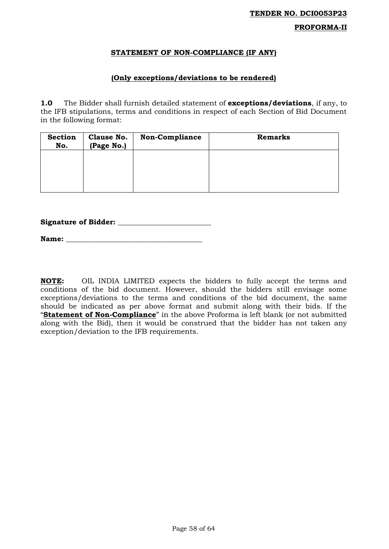# **PROFORMA-II**

## **STATEMENT OF NON-COMPLIANCE (IF ANY)**

## **(Only exceptions/deviations to be rendered)**

**1.0** The Bidder shall furnish detailed statement of **exceptions/deviations**, if any, to the IFB stipulations, terms and conditions in respect of each Section of Bid Document in the following format:

| <b>Section</b><br>No. | Clause No.<br>(Page No.) | <b>Non-Compliance</b> | <b>Remarks</b> |
|-----------------------|--------------------------|-----------------------|----------------|
|                       |                          |                       |                |
|                       |                          |                       |                |
|                       |                          |                       |                |

**Signature of Bidder: \_\_\_\_\_\_\_\_\_\_\_\_\_\_\_\_\_\_\_\_\_\_\_\_\_\_** 

Name:

**NOTE:** OIL INDIA LIMITED expects the bidders to fully accept the terms and conditions of the bid document. However, should the bidders still envisage some exceptions/deviations to the terms and conditions of the bid document, the same should be indicated as per above format and submit along with their bids. If the "**Statement of Non-Compliance**" in the above Proforma is left blank (or not submitted along with the Bid), then it would be construed that the bidder has not taken any exception/deviation to the IFB requirements.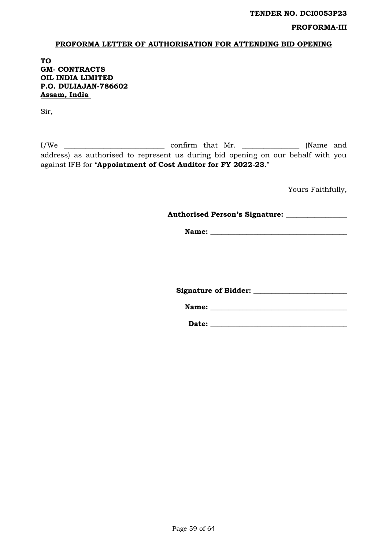## **PROFORMA-III**

#### **PROFORMA LETTER OF AUTHORISATION FOR ATTENDING BID OPENING**

**TO GM- CONTRACTS OIL INDIA LIMITED P.O. DULIAJAN-786602 Assam, India** 

Sir,

I/We \_\_\_\_\_\_\_\_\_\_\_\_\_\_\_\_\_\_\_\_\_\_\_\_\_\_\_\_ confirm that Mr. \_\_\_\_\_\_\_\_\_\_\_\_\_\_\_\_ (Name and address) as authorised to represent us during bid opening on our behalf with you against IFB for **'Appointment of Cost Auditor for FY 2022-23**.**'**

Yours Faithfully,

**Authorised Person's Signature: \_\_\_\_\_\_\_\_\_\_\_\_\_\_\_\_\_** 

**Name: \_\_\_\_\_\_\_\_\_\_\_\_\_\_\_\_\_\_\_\_\_\_\_\_\_\_\_\_\_\_\_\_\_\_\_\_\_\_** 

**Signature of Bidder: \_\_\_\_\_\_\_\_\_\_\_\_\_\_\_\_\_\_\_\_\_\_\_\_\_\_** 

Name:

**Date: \_\_\_\_\_\_\_\_\_\_\_\_\_\_\_\_\_\_\_\_\_\_\_\_\_\_\_\_\_\_\_\_\_\_\_\_\_\_**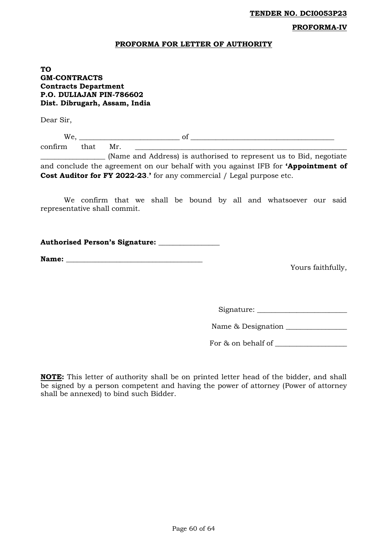#### **PROFORMA-IV**

#### **PROFORMA FOR LETTER OF AUTHORITY**

## **TO GM-CONTRACTS Contracts Department P.O. DULIAJAN PIN-786602 Dist. Dibrugarh, Assam, India**

Dear Sir,

| w<br>v v |            |  |
|----------|------------|--|
| - -      | M.<br>LVI. |  |

\_\_\_\_\_\_\_\_\_\_\_\_\_\_\_\_\_\_ (Name and Address) is authorised to represent us to Bid, negotiate and conclude the agreement on our behalf with you against IFB for **'Appointment of Cost Auditor for FY 2022-23**.**'** for any commercial / Legal purpose etc.

We confirm that we shall be bound by all and whatsoever our said representative shall commit.

|  |  | <b>Authorised Person's Signature:</b> |  |
|--|--|---------------------------------------|--|
|--|--|---------------------------------------|--|

**Name: \_\_\_\_\_\_\_\_\_\_\_\_\_\_\_\_\_\_\_\_\_\_\_\_\_\_\_\_\_\_\_\_\_\_\_\_\_\_** 

Yours faithfully,

Signature: \_\_\_\_\_\_\_\_\_\_\_\_\_\_\_\_\_\_\_\_\_\_\_\_\_

Name & Designation \_\_\_\_\_\_\_\_\_\_\_\_\_\_\_\_\_

For & on behalf of \_\_\_\_\_\_\_\_\_\_\_\_\_\_\_\_\_\_\_\_

**NOTE:** This letter of authority shall be on printed letter head of the bidder, and shall be signed by a person competent and having the power of attorney (Power of attorney shall be annexed) to bind such Bidder.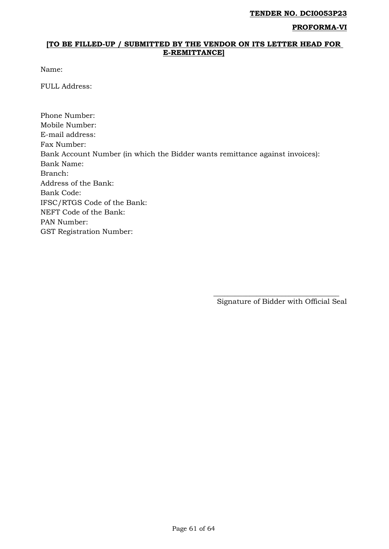#### **PROFORMA-VI**

## **[TO BE FILLED-UP / SUBMITTED BY THE VENDOR ON ITS LETTER HEAD FOR E-REMITTANCE]**

Name:

FULL Address:

Phone Number: Mobile Number: E-mail address: Fax Number: Bank Account Number (in which the Bidder wants remittance against invoices): Bank Name: Branch: Address of the Bank: Bank Code: IFSC/RTGS Code of the Bank: NEFT Code of the Bank: PAN Number: GST Registration Number:

 $\overline{\phantom{a}}$  , which is a set of the set of the set of the set of the set of the set of the set of the set of the set of the set of the set of the set of the set of the set of the set of the set of the set of the set of th Signature of Bidder with Official Seal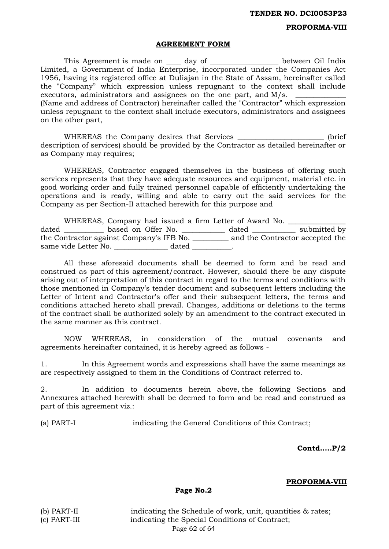### **PROFORMA-VIII**

#### **AGREEMENT FORM**

This Agreement is made on \_\_\_\_\_ day of \_\_\_\_\_\_\_\_\_\_\_\_\_\_\_\_\_\_\_\_ between Oil India Limited, a Government of India Enterprise, incorporated under the Companies Act 1956, having its registered office at Duliajan in the State of Assam, hereinafter called the "Company" which expression unless repugnant to the context shall include executors, administrators and assignees on the one part, and  $M/s$ . (Name and address of Contractor) hereinafter called the "Contractor" which expression unless repugnant to the context shall include executors, administrators and assignees on the other part,

WHEREAS the Company desires that Services \_\_\_\_\_\_\_\_\_\_\_\_\_\_\_\_\_\_\_\_\_\_\_ (brief description of services) should be provided by the Contractor as detailed hereinafter or as Company may requires;

WHEREAS, Contractor engaged themselves in the business of offering such services represents that they have adequate resources and equipment, material etc. in good working order and fully trained personnel capable of efficiently undertaking the operations and is ready, willing and able to carry out the said services for the Company as per Section-II attached herewith for this purpose and

WHEREAS, Company had issued a firm Letter of Award No. dated \_\_\_\_\_\_\_\_\_\_\_\_ based on Offer No. \_\_\_\_\_\_\_\_\_\_\_\_\_ dated \_\_\_\_\_\_\_\_\_\_\_\_ submitted by the Contractor against Company's IFB No. \_\_\_\_\_\_\_\_\_\_ and the Contractor accepted the same vide Letter No. \_\_\_\_\_\_\_\_\_\_\_\_\_\_\_\_\_ dated \_\_\_\_\_\_\_\_\_\_\_\_\_\_\_\_\_\_\_\_\_\_\_\_\_\_\_\_\_\_\_\_\_\_\_

All these aforesaid documents shall be deemed to form and be read and construed as part of this agreement/contract. However, should there be any dispute arising out of interpretation of this contract in regard to the terms and conditions with those mentioned in Company's tender document and subsequent letters including the Letter of Intent and Contractor's offer and their subsequent letters, the terms and conditions attached hereto shall prevail. Changes, additions or deletions to the terms of the contract shall be authorized solely by an amendment to the contract executed in the same manner as this contract.

NOW WHEREAS, in consideration of the mutual covenants and agreements hereinafter contained, it is hereby agreed as follows -

1. In this Agreement words and expressions shall have the same meanings as are respectively assigned to them in the Conditions of Contract referred to.

2. In addition to documents herein above, the following Sections and Annexures attached herewith shall be deemed to form and be read and construed as part of this agreement viz.:

(a) PART-I indicating the General Conditions of this Contract;

**Contd…..P/2**

#### **PROFORMA-VIII**

**Page No.2**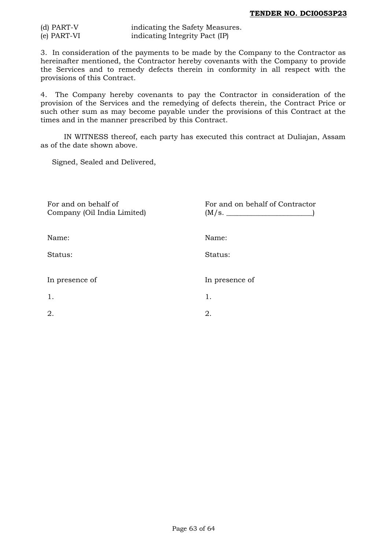| $(d)$ PART-V | indicating the Safety Measures. |
|--------------|---------------------------------|
| (e) PART-VI  | indicating Integrity Pact (IP)  |

3. In consideration of the payments to be made by the Company to the Contractor as hereinafter mentioned, the Contractor hereby covenants with the Company to provide the Services and to remedy defects therein in conformity in all respect with the provisions of this Contract.

4. The Company hereby covenants to pay the Contractor in consideration of the provision of the Services and the remedying of defects therein, the Contract Price or such other sum as may become payable under the provisions of this Contract at the times and in the manner prescribed by this Contract.

IN WITNESS thereof, each party has executed this contract at Duliajan, Assam as of the date shown above.

Signed, Sealed and Delivered,

| For and on behalf of<br>Company (Oil India Limited) | For and on behalf of Contractor<br>(M/s. |
|-----------------------------------------------------|------------------------------------------|
| Name:                                               | Name:                                    |
| Status:                                             | Status:                                  |
| In presence of                                      | In presence of                           |
| 1.                                                  | 1.                                       |
| 2.                                                  | 2.                                       |